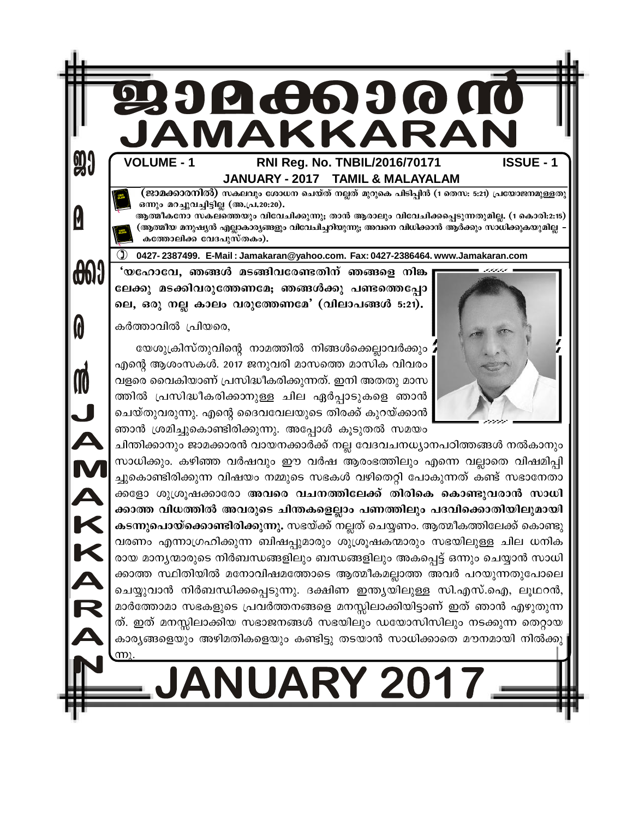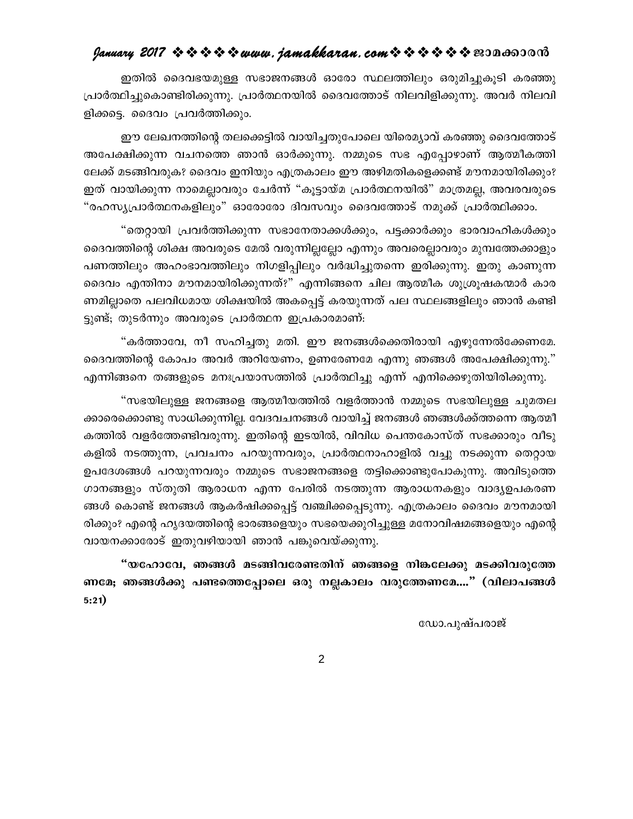#### $g$ anuary 2017  $\rightsquigarrow \rightsquigarrow \rightsquigarrow \rightsquigarrow uww.$  jamakkaran.com $\rightsquigarrow \rightsquigarrow \rightsquigarrow \rightsquigarrow \rightsquigarrow \rightsquigarrow \text{reson}$

ഇതിൽ ദൈവഭയമുള്ള സഭാജനങ്ങൾ ഓരോ സ്ഥലത്തിലും ഒരുമിച്ചുകൂടി കരഞ്ഞു പ്രാർത്ഥിച്ചുകൊണ്ടിരിക്കുന്നു. പ്രാർത്ഥനയിൽ ദൈവത്തോട് നിലവിളിക്കുന്നു. അവർ നിലവി ളിക്കട്ടെ. ദൈവം പ്രവർത്തിക്കും.

ഈ ലേഖനത്തിന്റെ തലക്കെട്ടിൽ വായിച്ചതുപോലെ യിരെമ്യാവ് കരഞ്ഞു ദൈവത്തോട് അപേക്ഷിക്കുന്ന വചനത്തെ ഞാൻ ഓർക്കുന്നു. നമ്മുടെ സഭ എപ്പോഴാണ് ആത്മീകത്തി ലേക്ക് മടങ്ങിവരുക? ദൈവം ഇനിയും എത്രകാലം ഈ അഴിമതികളെക്കണ്ട് മൗനമായിരിക്കും? ഇത് വായിക്കുന്ന നാമെല്ലാവരും ചേർന്ന് "കൂട്ടായ്മ പ്രാർത്ഥനയിൽ" മാത്രമല്ല, അവരവരുടെ "രഹസ്യപ്രാർത്ഥനകളിലും" ഓരോരോ ദിവസവും ദൈവത്തോട് നമുക്ക് പ്രാർത്ഥിക്കാം.

"തെറ്റായി പ്രവർത്തിക്കുന്ന സഭാനേതാക്കൾക്കും, പട്ടക്കാർക്കും ഭാരവാഹികൾക്കും ദൈവത്തിന്റെ ശിക്ഷ അവരുടെ മേൽ വരുന്നില്ലല്ലോ എന്നും അവരെല്ലാവരും മുമ്പത്തേക്കാളും പണത്തിലും അഹംഭാവത്തിലും നിഗളിപ്പിലും വർദ്ധിച്ചുതന്നെ ഇരിക്കുന്നു. ഇതു കാണുന്ന ദൈവം എന്തിനാ മൗനമായിരിക്കുന്നത്?" എന്നിങ്ങനെ ചില ആത്മീക ശുശ്രൂഷകന്മാർ കാര ണമില്ലാതെ പലവിധമായ ശിക്ഷയിൽ അകപ്പെട്ട് കരയുന്നത് പല സ്ഥലങ്ങളിലും ഞാൻ കണ്ടി ട്ടുണ്ട്; തുടർന്നും അവരുടെ പ്രാർത്ഥന ഇപ്രകാരമാണ്:

"കർത്താവേ, നീ സഹിച്ചതു മതി. ഈ ജനങ്ങൾക്കെതിരായി എഴുന്നേൽക്കേണമേ. ദൈവത്തിന്റെ കോപം അവർ അറിയേണം, ഉണരേണമേ എന്നു ഞങ്ങൾ അപേക്ഷിക്കുന്നു." എന്നിങ്ങനെ തങ്ങളുടെ മനഃപ്രയാസത്തിൽ പ്രാർത്ഥിച്ചു എന്ന് എനിക്കെഴുതിയിരിക്കുന്നു.

"സഭയിലുള്ള ജനങ്ങളെ ആത്മീയത്തിൽ വളർത്താൻ നമ്മുടെ സഭയിലുള്ള ചുമതല ക്കാരെക്കൊണ്ടു സാധിക്കുന്നില്ല. വേദവചനങ്ങൾ വായിച്ച് ജനങ്ങൾ ഞങ്ങൾക്ക്ത്തന്നെ ആത്മീ കത്തിൽ വളർത്തേണ്ടിവരുന്നു. ഇതിന്റെ ഇടയിൽ, വിവിധ പെന്തകോസ്ത് സഭക്കാരും വീടു കളിൽ നടത്തുന്ന, പ്രവചനം പറയുന്നവരും, പ്രാർത്ഥനാഹാളിൽ വച്ചു നടക്കുന്ന തെറ്റായ ഉപദേശങ്ങൾ പറയുന്നവരും നമ്മുടെ സഭാജനങ്ങളെ തട്ടിക്കൊണ്ടുപോകുന്നു. അവിടുത്തെ ഗാനങ്ങളും സ്തുതി ആരാധന എന്ന പേരിൽ നടത്തുന്ന ആരാധനകളും വാദൃഉപകരണ ങ്ങൾ കൊണ്ട് ജനങ്ങൾ ആകർഷിക്കപ്പെട്ട് വഞ്ചിക്കപ്പെടുന്നു. എത്രകാലം ദൈവം മൗനമായി രിക്കും? എന്റെ ഹൃദയത്തിന്റെ ഭാരങ്ങളെയും സഭയെക്കുറിച്ചുള്ള മനോവിഷമങ്ങളെയും എന്റെ വായനക്കാരോട് ഇതുവഴിയായി ഞാൻ പങ്കുവെയ്ക്കുന്നു.

"യഹോവേ, ഞങ്ങൾ മടങ്ങിവരേണ്ടതിന് ഞങ്ങളെ നിങ്കലേക്കു മടക്കിവരുത്തേ ണമേ; ഞങ്ങൾക്കു പണ്ടത്തെപ്പോലെ ഒരു നല്ലകാലം വരുത്തേണമേ...." (വിലാപങ്ങൾ  $5:21)$ 

ഡോ.പുഷ്പരാജ്

 $\overline{2}$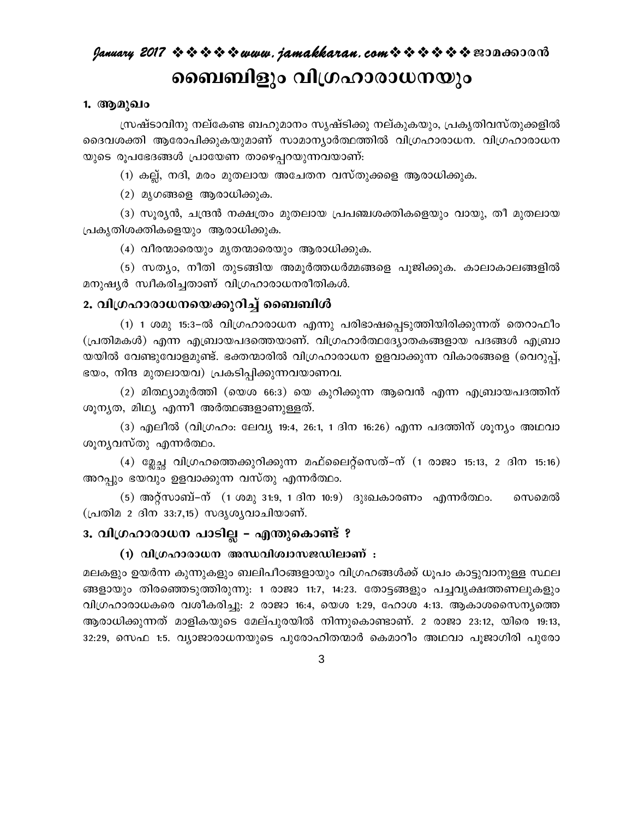# January 2017 ☆☆☆☆☆ www.jamakkaran.com☆☆☆☆☆☆ ? 2010 ബൈബിളും വിഗ്രഹാരാധനയും

#### 1. ആമുഖം

സ്രഷ്ടാവിനു നല്കേണ്ട ബഹുമാനം സൃഷ്ടിക്കു നല്കുകയും, പ്രകൃതിവസ്തുക്കളിൽ ദൈവശക്തി ആരോപിക്കുകയുമാണ് സാമാന്യാർത്ഥത്തിൽ വിഗ്രഹാരാധന. വിഗ്രഹാരാധന യുടെ രൂപഭേദങ്ങൾ പ്രായേണ താഴെപ്പറയുന്നവയാണ്:

(1) കല്ല്, നദി, മരം മുതലായ അചേതന വസ്തുക്കളെ ആരാധിക്കുക.

(2) മൃഗങ്ങളെ ആരാധിക്കുക.

(3) സുര്യൻ, ചന്ദ്രൻ നക്ഷത്രം മുതലായ പ്രപഞ്ചശക്തികളെയും വായു, തീ മുതലായ പ്രകൃതിശക്തികളെയും ആരാധിക്കുക.

(4) വീരന്മാരെയും മൃതന്മാരെയും ആരാധിക്കുക.

(5) സത്യം, നീതി തുടങ്ങിയ അമുർത്തധർമ്മങ്ങളെ പുജിക്കുക. കാലാകാലങ്ങളിൽ മനുഷ്യർ സ്വീകരിച്ചതാണ് വിഗ്രഹാരാധനരീതികൾ.

#### 2. വിഗ്രഹാരാധനയെക്കുറിച്ച് ബൈബിൾ

(1) 1 ശമു 15:3–ൽ വിഗ്രഹാരാധന എന്നു പരിഭാഷപ്പെടുത്തിയിരിക്കുന്നത് തെറാഫീം (പ്രതിമകൾ) എന്ന എബ്രായപദത്തെയാണ്. വിഗ്രഹാർത്ഥദ്യോതകങ്ങളായ പദങ്ങൾ എബ്രാ യയിൽ വേണ്ടുവോളമുണ്ട്. ഭക്തന്മാരിൽ വിഗ്രഹാരാധന ഉളവാക്കുന്ന വികാരങ്ങളെ (വെറുപ്പ്, ഭയം, നിന്ദ മുതലായവ) പ്രകടിപ്പിക്കുന്നവയാണവ.

(2) മിത്ഥ്യാമൂർത്തി (യെശ 66:3) യെ കുറിക്കുന്ന ആവെൻ എന്ന എബ്രായപദത്തിന് ശൂനൃത, മിഥ്യ എന്നീ അർത്ഥങ്ങളാണുള്ളത്.

(3) എലീൽ (വിഗ്രഹം: ലേവ്യ 19:4, 26:1, 1 ദിന 16:26) എന്ന പദത്തിന് ശുന്യം അഥവാ ശൂനൃവസ്തു എന്നർത്ഥം.

(4) മ്ലേച്ച വിഗ്രഹത്തെക്കുറിക്കുന്ന മഫ്ലൈറ്റ്സെത്–ന് (1 രാജാ 15:13, 2 ദിന 15:16) അറപ്പും ഭയവും ഉളവാക്കുന്ന വസ്തു എന്നർത്ഥം.

സെമെൽ (പ്രതിമ 2 ദിന 33:7,15) സദൃശ്യവാചിയാണ്.

#### 3. വിഗ്രഹാരാധന പാടില്ല - എന്തുകൊണ്ട് ?

#### (1) വിഗ്രഹാരാധന അന്ധവിശ്വാസജഡിലാണ് :

മലകളും ഉയർന്ന കുന്നുകളും ബലിപീഠങ്ങളായും വിഗ്രഹങ്ങൾക്ക് ധൂപം കാട്ടുവാനുള്ള സ്ഥല ങ്ങളായും തിരഞ്ഞെടുത്തിരുന്നു: 1 രാജാ 11:7, 14:23. തോട്ടങ്ങളും പച്ചവൃക്ഷത്തണലുകളും വിഗ്രഹാരാധകരെ വശീകരിച്ചു: 2 രാജാ 16:4, യെശ 1:29, ഹോശ 4:13. ആകാശസൈന്യത്തെ ആരാധിക്കുന്നത് മാളികയുടെ മേല്പുരയിൽ നിന്നുകൊണ്ടാണ്. 2 രാജാ 23:12, യിരെ 19:13, 32:29, സെഫ 1:5. വ്യാജാരാധനയുടെ പുരോഹിതന്മാർ കെമാറീം അഥവാ പൂജാഗിരി പുരോ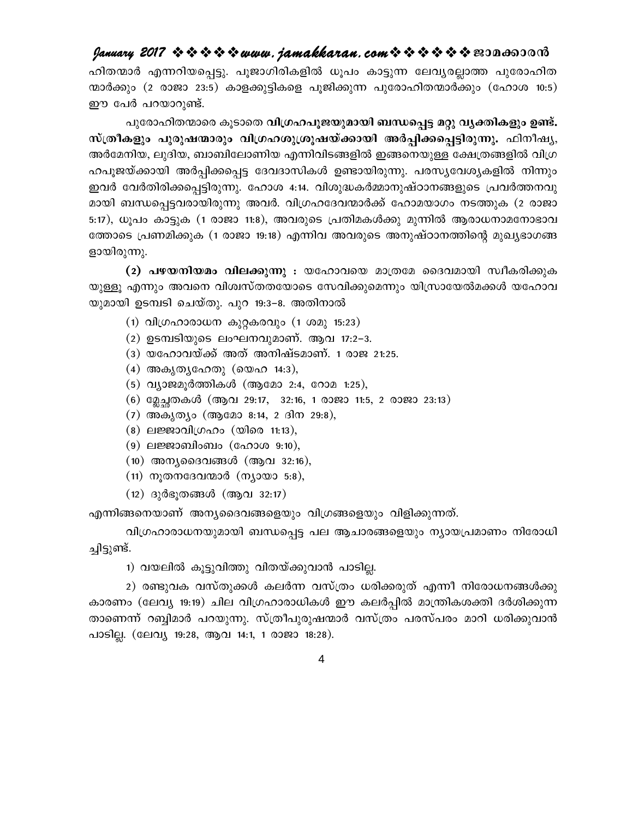#### $\mathit{January 2017} \Leftrightarrow \Leftrightarrow \Leftrightarrow \Leftrightarrow \Leftrightarrow www. \mathit{jamakkana} \ldots \mathit{com} \Leftrightarrow \Leftrightarrow \Leftrightarrow \Leftrightarrow \Leftrightarrow \otimes \text{non} \text{on} \text{or} \text{or}$

ഹിതന്മാർ എന്നറിയപ്പെട്ടു. പൂജാഗിരികളിൽ ധൂപം കാട്ടുന്ന ലേവൃരല്ലാത്ത പുരോഹിത ന്മാർക്കും (2 രാജാ 23:5) കാളക്കുട്ടികളെ പുജിക്കുന്ന പുരോഹിതന്മാർക്കും (ഹോശ 10:5) ഈ പേർ പറയാറുണ്ട്.

പുരോഹിതന്മാരെ കൂടാതെ വിഗ്രഹപൂജയുമായി ബന്ധപ്പെട്ട മറ്റു വൃക്തികളും ഉണ്ട്. സ്ത്രീകളും പുരുഷന്മാരും വിഗ്രഹശുശ്രൂഷയ്ക്കായി അർപ്പിക്കപ്പെട്ടിരുന്നു. ഫിനീഷ്യ, അർമേനിയ, ലുദിയ, ബാബിലോണിയ എന്നിവിടങ്ങളിൽ ഇങ്ങനെയുള്ള ക്ഷേത്രങ്ങളിൽ വിഗ്ര ഹപുജയ്ക്കായി അർപ്പിക്കപ്പെട്ട ദേവദാസികൾ ഉണ്ടായിരുന്നു. പരസ്യവേശ്യകളിൽ നിന്നും ഇവർ വേർതിരിക്കപ്പെട്ടിരുന്നു. ഹോശ 4:14. വിശുദ്ധകർമ്മാനുഷ്ഠാനങ്ങളുടെ പ്രവർത്തനവു മായി ബന്ധപ്പെട്ടവരായിരുന്നു അവർ. വിഗ്രഹദേവന്മാർക്ക് ഹോമയാഗം നടത്തുക (2 രാജാ 5:17), ധൂപം കാട്ടുക (1 രാജാ 11:8), അവരുടെ പ്രതിമകൾക്കു മുന്നിൽ ആരാധനാമനോഭാവ ത്തോടെ പ്രണമിക്കുക (1 രാജാ 19:18) എന്നിവ അവരുടെ അനുഷ്ഠാനത്തിന്റെ മുഖ്യഭാഗങ്ങ ളായിരുന്നു.

(2) പഴയനിയമം വിലക്കുന്നു : യഹോവയെ മാത്രമേ ദൈവമായി സ്വീകരിക്കുക യുള്ളു എന്നും അവനെ വിശ്വസ്തതയോടെ സേവിക്കുമെന്നും യിസ്രായേൽമക്കൾ യഹോവ യുമായി ഉടമ്പടി ചെയ്തു. പുറ 19:3–8. അതിനാൽ

- (1) വിഗ്രഹാരാധന കുറ്റകരവും (1 ശമു 15:23)
- (2) ഉടമ്പടിയുടെ ലംഘനവുമാണ്. ആവ 17:2-3.
- (3) യഹോവയ്ക്ക് അത് അനിഷ്ടമാണ്. 1 രാജ 21:25.
- (4) അകൃതൃഹേതു (യെഹ 14:3),
- (5) വ്യാജമുർത്തികൾ (ആമോ 2:4, റോമ 1:25),
- $(6)$  മ്ലേച്ചതകൾ (ആവ 29:17, 32:16, 1 രാജാ 11:5, 2 രാജാ 23:13)
- (7) അകൃത്യം (ആമോ 8:14, 2 ദിന 29:8),
- (8) ലജ്ജാവിഗ്രഹം (യിരെ 11:13),
- $(9)$  ലജ്ജാബിംബം (ഹോശ 9:10),
- $(10)$  അന്യദൈവങ്ങൾ (ആവ 32:16),
- $(11)$  നൂതനദേവന്മാർ (ന്യായാ 5:8),
- $(12)$  ദുർഭൂതങ്ങൾ (ആവ 32:17)

എന്നിങ്ങനെയാണ് അന്യദൈവങ്ങളെയും വിഗ്രങ്ങളെയും വിളിക്കുന്നത്.

വിഗ്രഹാരാധനയുമായി ബന്ധപ്പെട്ട പല ആചാരങ്ങളെയും ന്യായപ്രമാണം നിരോധി ച്ചിട്ടുണ്ട്.

1) വയലിൽ കൂട്ടുവിത്തു വിതയ്ക്കുവാൻ പാടില്ല.

2) രണ്ടുവക വസ്തുക്കൾ കലർന്ന വസ്ത്രം ധരിക്കരുത് എന്നീ നിരോധനങ്ങൾക്കു കാരണം (ലേവ്യ 19:19) ചില വിഗ്രഹാരാധികൾ ഈ കലർപ്പിൽ മാന്ത്രികശക്തി ദർശിക്കുന്ന താണെന്ന് റബ്ബിമാർ പറയുന്നു. സ്ത്രീപുരുഷന്മാർ വസ്ത്രം പരസ്പരം മാറി ധരിക്കുവാൻ പാടില്ല. (ലേവ്യ 19:28, ആവ 14:1, 1 രാജാ 18:28).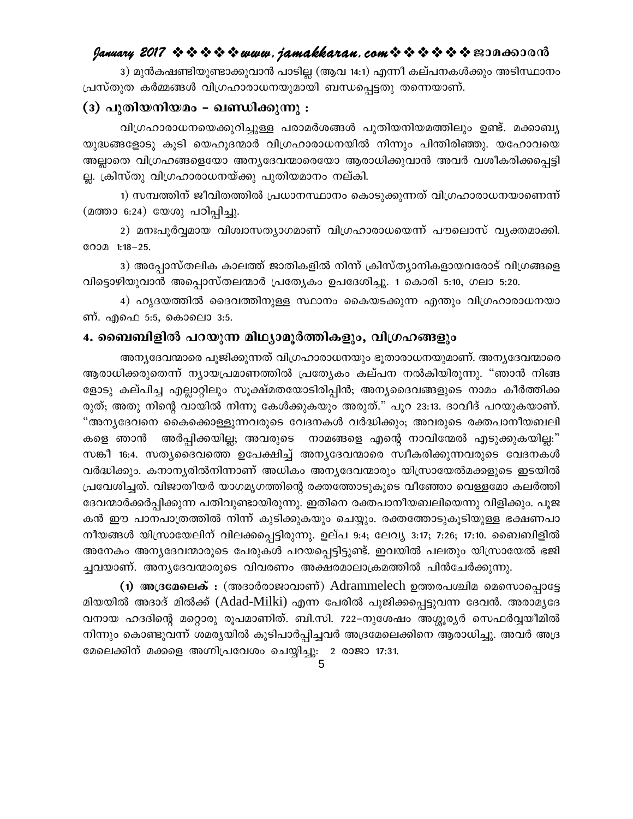3) മുൻകഷണ്ടിയുണ്ടാക്കുവാൻ പാടില്ല (ആവ 14:1) എന്നീ കല്പനകൾക്കും അടിസ്ഥാനം പ്രസ്തുത കർമ്മങ്ങൾ വിഗ്രഹാരാധനയുമായി ബന്ധപ്പെട്ടതു തന്നെയാണ്.

#### (3) പുതിയനിയമം - ഖണ്ഡിക്കുന്നു :

വിഗ്രഹാരാധനയെക്കുറിച്ചുള്ള പരാമർശങ്ങൾ പുതിയനിയമത്തിലും ഉണ്ട്. മക്കാബ്യ യുദ്ധങ്ങളോടു കുടി യെഹുദന്മാർ വിഗ്രഹാരാധനയിൽ നിന്നും പിന്തിരിഞ്ഞു. യഹോവയെ അല്ലാതെ വിഗ്രഹങ്ങളെയോ അന്യദേവന്മാരെയോ ആരാധിക്കുവാൻ അവർ വശീകരിക്കപ്പെട്ടി ല്ല. ക്രിസ്തു വിഗ്രഹാരാധനയ്ക്കു പുതിയമാനം നല്കി.

1) സമ്പത്തിന് ജീവിതത്തിൽ പ്രധാനസ്ഥാനം കൊടുക്കുന്നത് വിഗ്രഹാരാധനയാണെന്ന് (മത്താ 6:24) യേശു പഠിപ്പിച്ചു.

2) മനഃപൂർവ്വമായ വിശ്വാസത്യാഗമാണ് വിഗ്രഹാരാധയെന്ന് പൗലൊസ് വ്യക്തമാക്കി. GOOD 1:18-25.

3) അപ്പോസ്തലിക കാലത്ത് ജാതികളിൽ നിന്ന് ക്രിസ്ത്യാനികളായവരോട് വിഗ്രങ്ങളെ വിട്ടൊഴിയുവാൻ അപ്പൊസ്തലന്മാർ പ്രത്യേകം ഉപദേശിച്ചു. 1 കൊരി 5:10, ഗലാ 5:20.

4) ഹ്യദയത്തിൽ ദൈവത്തിനുള്ള സ്ഥാനം കൈയടക്കുന്ന എന്തും വിഗ്രഹാരാധനയാ ണ്. എഫെ 5:5, കൊലൊ 3:5.

#### 4. ബൈബിളിൽ പറയുന്ന മിഥ്യാമൂർത്തികളും, വിഗ്രഹങ്ങളും

അന്യദേവന്മാരെ പൂജിക്കുന്നത് വിഗ്രഹാരാധനയും ഭൂതാരാധനയുമാണ്. അന്യദേവന്മാരെ ആരാധിക്കരുതെന്ന് ന്യായപ്രമാണത്തിൽ പ്രത്യേകം കല്പന നൽകിയിരുന്നു. "ഞാൻ നിങ്ങ ളോടു കല്പിച്ച എല്ലാറ്റിലും സൂക്ഷ്മതയോടിരിപ്പിൻ; അന്യദൈവങ്ങളുടെ നാമം കീർത്തിക്ക രുത്; അതു നിന്റെ വായിൽ നിന്നു കേൾക്കുകയും അരുത്." പുറ 23:13. ദാവീദ് പറയുകയാണ്. "അന്യദേവനെ കൈക്കൊള്ളുന്നവരുടെ വേദനകൾ വർദ്ധിക്കും; അവരുടെ രക്തപാനീയബലി അർപ്പിക്കയില്ല; അവരുടെ നാമങ്ങളെ എന്റെ നാവിന്മേൽ എടുക്കുകയില്ല:" കളെ ഞാൻ സങ്കീ 16:4. സത്യദൈവത്തെ ഉപേക്ഷിച്ച് അന്യദേവന്മാരെ സ്വീകരിക്കുന്നവരുടെ വേദനകൾ വർദ്ധിക്കും. കനാനൃരിൽനിന്നാണ് അധികം അനൃദേവന്മാരും യിസ്രായേൽമക്കളുടെ ഇടയിൽ പ്രവേശിച്ചത്. വിജാതീയർ യാഗമൃഗത്തിന്റെ രക്തത്തോടുകൂടെ വീഞ്ഞോ വെള്ളമോ കലർത്തി ദേവന്മാർക്കർപ്പിക്കുന്ന പതിവുണ്ടായിരുന്നു. ഇതിനെ രക്തപാനീയബലിയെന്നു വിളിക്കും. പൂജ കൻ ഈ പാനപാത്രത്തിൽ നിന്ന് കുടിക്കുകയും ചെയ്യും. രക്തത്തോടുകൂടിയുള്ള ഭക്ഷണപാ നീയങ്ങൾ യിസ്രായേലിന് വിലക്കപ്പെട്ടിരുന്നു. ഉല്പ 9:4; ലേവ്യ 3:17; 7:26; 17:10. ബൈബിളിൽ അനേകം അന്യദേവന്മാരുടെ പേരുകൾ പറയപ്പെട്ടിട്ടുണ്ട്. ഇവയിൽ പലതും യിസ്രായേൽ ഭജി ച്ചവയാണ്. അന്യദേവന്മാരുടെ വിവരണം അക്ഷരമാലാക്രമത്തിൽ പിൻചേർക്കുന്നു.

(1) അദ്രമേലെക് : (അദാർരാജാവാണ്) Adrammelech ഉത്തരപശ്ചിമ മെസൊപ്പൊട്ടേ മിയയിൽ അദാദ് മിൽക്ക് (Adad-Milki) എന്ന പേരിൽ പൂജിക്കപ്പെട്ടുവന്ന ദേവൻ. അരാമൃദേ വനായ ഹദദിന്റെ മറ്റൊരു രൂപമാണിത്. ബി.സി. 722–നുശേഷം അശ്ശൂര്യർ സെഫർവ്വയീമിൽ നിന്നും കൊണ്ടുവന്ന് ശമര്യയിൽ കുടിപാർപ്പിച്ചവർ അദ്രമേലെക്കിനെ ആരാധിച്ചു. അവർ അദ്ര മേലെക്കിന് മക്കളെ അഗ്നിപ്രവേശം ചെയ്യിച്ചു: 2 രാജാ 17:31.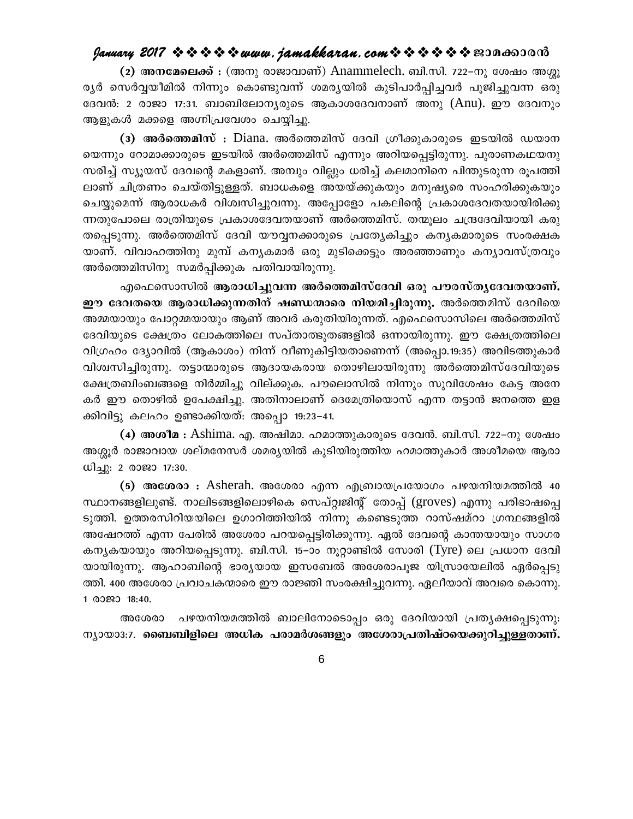(2) അനമേലെക്ക് : (അനു രാജാവാണ്) Anammelech. ബി.സി. 722-നു ശേഷം അശ്മ ര്യർ സെർവ്വയീമിൽ നിന്നും കൊണ്ടുവന്ന് ശമര്യയിൽ കുടിപാർപ്പിച്ചവർ പൂജിച്ചുവന്ന ഒരു ദേവൻ: 2 രാജാ 17:31. ബാബിലോന്യരുടെ ആകാശദേവനാണ് അനു (Anu). ഈ ദേവനും ആളുകൾ മക്കളെ അഗ്നിപ്രവേശം ചെയ്യിച്ചു.

(3) അർത്തെമിസ് : Diana. അർത്തെമിസ് ദേവി ഗ്രീക്കുകാരുടെ ഇടയിൽ ഡയാന യെന്നും റോമാക്കാരുടെ ഇടയിൽ അർത്തെമിസ് എന്നും അറിയപ്പെട്ടിരുന്നു. പുരാണകഥയനു സരിച്ച് സ്യുയസ് ദേവന്റെ മകളാണ്. അമ്പും വില്ലും ധരിച്ച് കലമാനിനെ പിന്തുടരുന്ന രൂപത്തി ലാണ് ചിത്രണം ചെയ്തിട്ടുള്ളത്. ബാധകളെ അയയ്ക്കുകയും മനുഷ്യരെ സംഹരിക്കുകയും ചെയ്യുമെന്ന് ആരാധകർ വിശ്വസിച്ചുവന്നു. അപ്പോളോ പകലിന്റെ പ്രകാശദേവതയായിരിക്കു ന്നതുപോലെ രാത്രിയുടെ പ്രകാശദേവതയാണ് അർത്തെമിസ്. തന്മൂലം ചന്ദ്രദേവിയായി കരു തപ്പെടുന്നു. അർത്തെമിസ് ദേവി യൗവ്വനക്കാരുടെ പ്രത്യേകിച്ചും കന്യകമാരുടെ സംരക്ഷക യാണ്. വിവാഹത്തിനു മുമ്പ് കന്യകമാർ ഒരു മുടിക്കെട്ടും അരഞ്ഞാണും കന്യാവസ്ത്രവും അർത്തെമിസിനു സമർപ്പിക്കുക പതിവായിരുന്നു.

എഫെസൊസിൽ ആരാധിച്ചുവന്ന അർത്തെമിസ്ദേവി ഒരു പൗരസ്തൃദേവതയാണ്. ഈ ദേവതയെ ആരാധിക്കുന്നതിന് ഷണ്ഡന്മാരെ നിയമിച്ചിരുന്നു. അർത്തെമിസ് ദേവിയെ അമ്മയായും പോറ്റമ്മയായും ആണ് അവർ കരുതിയിരുന്നത്. എഫെസൊസിലെ അർത്തെമിസ് ദേവിയുടെ ക്ഷേത്രം ലോകത്തിലെ സപ്താത്ഭുതങ്ങളിൽ ഒന്നായിരുന്നു. ഈ ക്ഷേത്രത്തിലെ വിഗ്രഹം ദ്യോവിൽ (ആകാശം) നിന്ന് വീണുകിട്ടിയതാണെന്ന് (അപ്പൊ.19:35) അവിടത്തുകാർ വിശ്വസിച്ചിരുന്നു. തട്ടാന്മാരുടെ ആദായകരായ തൊഴിലായിരുന്നു അർത്തെമിസ്ദേവിയുടെ ക്ഷേത്രബിംബങ്ങളെ നിർമ്മിച്ചു വില്ക്കുക. പൗലൊസിൽ നിന്നും സുവിശേഷം കേട്ട അനേ കർ ഈ തൊഴിൽ ഉപേക്ഷിച്ചു. അതിനാലാണ് ദെമേത്രിയൊസ് എന്ന തട്ടാൻ ജനത്തെ ഇള ക്കിവിട്ടു കലഹം ഉണ്ടാക്കിയത്: അപ്പൊ 19:23–41.

(4) അശീമ : Ashima. എ. അഷിമാ. ഹമാത്തുകാരുടെ ദേവൻ. ബി.സി. 722–നു ശേഷം അശ്ശൂർ രാജാവായ ശല്മനേസർ ശമര്യയിൽ കുടിയിരുത്തിയ ഹമാത്തുകാർ അശീമയെ ആരാ ധിച്ചു: 2 രാജാ 17:30.

(5) അശേരാ : Asherah. അശേരാ എന്ന എബ്രായപ്രയോഗം പഴയനിയമത്തിൽ 40 സ്ഥാനങ്ങളിലുണ്ട്. നാലിടങ്ങളിലൊഴികെ സെപ്റ്റ്വജിന്റ് തോപ്പ് (groves) എന്നു പരിഭാഷപ്പെ ടുത്തി. ഉത്തരസിറിയയിലെ ഉഗാറിത്തിയിൽ നിന്നു കണ്ടെടുത്ത റാസ്ഷമ്റാ ഗ്രന്ഥങ്ങളിൽ അഷേറത്ത് എന്ന പേരിൽ അശേരാ പറയപ്പെട്ടിരിക്കുന്നു. ഏൽ ദേവന്റെ കാന്തയായും സാഗര കനൃകയായും അറിയപ്പെടുന്നു. ബി.സി. 15–ാം നൂറ്റാണ്ടിൽ സോരി (Tyre) ലെ പ്രധാന ദേവി യായിരുന്നു. ആഹാബിന്റെ ഭാര്യയായ ഇസബേൽ അശേരാപൂജ യിസ്രായേലിൽ ഏർപ്പെടു ത്തി. 400 അശേരാ പ്രവാചകന്മാരെ ഈ രാജ്ഞി സംരക്ഷിച്ചുവന്നു. ഏലീയാവ് അവരെ കൊന്നു. 1 @0290 18:40.

അശേരാ പഴയനിയമത്തിൽ ബാലിനോടൊപ്പം ഒരു ദേവിയായി പ്രത്യക്ഷപ്പെടുന്നു: ന്യായാ3:7. ബൈബിളിലെ അധിക പരാമർശങ്ങളും അശേരാപ്രതിഷ്ഠയെക്കുറിച്ചുള്ളതാണ്.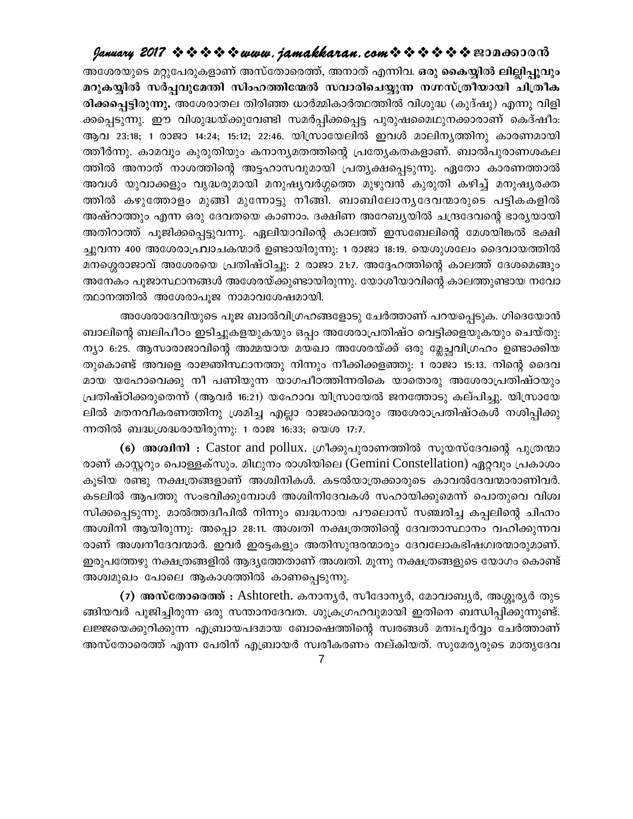അശേരയുടെ മറ്റുപേരുകളാണ് അസ്തോരെത്ത്, അനാത് എന്നിവ. ഒരു കൈയ്യിൽ ലില്ലിപുവും മറുകയ്യിൽ സർപ്പവുമേന്തി സിംഹത്തിന്മേൽ സവാരിചെയ്യുന്ന നഗ്നസ്ത്രീയായി ചിത്രീക രിക്കപ്പെട്ടിരുന്നു. അശേരാതല തിരിഞ്ഞ ധാർമ്മികാർത്ഥത്തിൽ വിശുദ്ധ (കുദ്ഷു) എന്നു വിളി ക്കപ്പെടുന്നു. ഈ വിശുദ്ധയ്ക്കുവേണ്ടി സമർപ്പിക്കപ്പെട്ട പുരുഷമൈഥുനക്കാരാണ് കെദ്ഷീം: ആവ 23:18; 1 രാജാ 14:24; 15:12; 22:46. യിസ്രായേലിൽ ഇവൾ മാലിനൃത്തിനു കാരണമായി ത്തീർന്നു. കാമവും കുരുതിയും കനാന്യമതത്തിന്റെ പ്രത്യേകതകളാണ്. ബാൽപുരാണശകല ത്തിൽ അനാത് നാശത്തിന്റെ അട്ടഹാസവുമായി പ്രത്യക്ഷപ്പെടുന്നു. ഏതോ കാരണത്താൽ അവൾ യുവാക്കളും വൃദ്ധരുമായി മനുഷ്യവർഗ്ഗത്തെ മുഴുവൻ കുരുതി കഴിച്ച് മനുഷ്യരക്ത ത്തിൽ കഴുത്തോളം മുങ്ങി മുന്നോട്ടു നീങ്ങി. ബാബിലോനൃദേവന്മാരുടെ പട്ടികകളിൽ അഷ്റാത്തും എന്ന ഒരു ദേവതയെ കാണാം. ദക്ഷിണ അറേബ്യയിൽ ചന്ദ്രദേവന്റെ ഭാര്യയായി അതിറാത്ത് പൂജിക്കപ്പെട്ടുവന്നു. ഏലിയാവിന്റെ കാലത്ത് ഇസബേലിന്റെ മേശയിങ്കൽ ഭക്ഷി ച്ചുവന്ന 400 അശേരാഫ്രവാചകന്മാർ ഉണ്ടായിരുന്നു: 1 രാജാ 18:19. യെശുശലേം ദൈവായത്തിൽ മനശ്ശെരാജാവ് അശേരയെ പ്രതിഷ്ഠിച്ചു: 2 രാജാ 21:7. അദ്ദേഹത്തിന്റെ കാലത്ത് ദേശമെങ്ങും അനേകം പൂജാസ്ഥാനങ്ങൾ അശേരയ്ക്കുണ്ടായിരുന്നു. യോശീയാവിന്റെ കാലത്തുണ്ടായ നവോ ത്ഥാനത്തിൽ അശേരാപൂജ നാമാവശേഷമായി.

അശേരാദേവിയുടെ പൂജ ബാൽവിഗ്രഹങ്ങളോടു ചേർത്താണ് പറയപ്പെടുക. ഗിദെയോൻ ബാലിന്റെ ബലിപീഠം ഇടിച്ചുകളയുകയും ഒപ്പം അശേരാപ്രതിഷ്ഠ വെട്ടിക്കളയുകയും ചെയ്തു: ന്യാ 6:25. ആസാരാജാവിന്റെ അമ്മയായ മയഖാ അശേരയ്ക്ക് ഒരു മ്ലേച്ഛവിഗ്രഹം ഉണ്ടാക്കിയ തുകൊണ്ട് അവളെ രാജ്ഞിസ്ഥാനത്തു നിന്നും നീക്കിക്കളഞ്ഞു: 1 രാജാ 15:13. നിന്റെ ദൈവ മായ യഹോവെക്കു നീ പണിയുന്ന യാഗപീഠത്തിന്നരികെ യാതൊരു അശേരാപ്രതിഷ്ഠയും പ്രതിഷ്ഠിക്കരുതെന്ന് (ആവർ 16:21) യഹോവ യിസ്രായേൽ ജനത്തോടു കല്പിച്ചു. യിസ്രായേ ലിൽ മതനവീകരണത്തിനു ശ്രമിച്ച എല്ലാ രാജാക്കന്മാരും അശേരാപ്രതിഷ്ഠകൾ നശിപ്പിക്കു ന്നതിൽ ബദ്ധശ്രദ്ധരായിരുന്നു: 1 രാജ 16:33; യെശ 17:7.

(6) അശ്വിനി : Castor and pollux. ഗ്രീക്കുപുരാണത്തിൽ സൂയസ്ദേവന്റെ പുത്രന്മാ രാണ് കാസ്റ്ററും പൊള്ളക്സും. മിഥുനം രാശിയിലെ (Gemini Constellation) ഏറ്റവും പ്രകാശം കൂടിയ രണ്ടു നക്ഷത്രങ്ങളാണ് അശ്വിനികൾ. കടൽയാത്രക്കാരുടെ കാവൽദേവന്മാരാണിവർ. കടലിൽ ആപത്തു സംഭവിക്കുമ്പോൾ അശ്വിനിദേവകൾ സഹായിക്കുമെന്ന് പൊതുവെ വിശ്വ സിക്കപ്പെടുന്നു. മാൽത്തദ്വീപിൽ നിന്നും ബദ്ധനായ പൗലൊസ് സഞ്ചരിച്ച കപ്പലിന്റെ ചിഹ്നം അശ്വിനി ആയിരുന്നു: അപ്പൊ 28:11. അശ്വതി നക്ഷത്രത്തിന്റെ ദേവതാസ്ഥാനം വഹിക്കുന്നവ രാണ് അശ്വനീദേവന്മാർ. ഇവർ ഇരട്ടകളും അതിസുന്ദരന്മാരും ദേവലോകഭിഷഗ്വരന്മാരുമാണ്. ഇരുപത്തേഴു നക്ഷത്രങ്ങളിൽ ആദ്യത്തേതാണ് അശ്വതി. മൂന്നു നക്ഷത്രങ്ങളുടെ യോഗം കൊണ്ട് അശ്വമുഖം പോലെ ആകാശത്തിൽ കാണപ്പെടുന്നു.

(7) അസ്തോരെത്ത് : Ashtoreth. കനാനൃർ, സീദോനൃർ, മോവാബൃർ, അശ്ശൂരൃർ തുട ങ്ങിയവർ പൂജിച്ചിരുന്ന ഒരു സന്താനദേവത. ശുക്രഗ്രഹവുമായി ഇതിനെ ബന്ധിപ്പിക്കുന്നുണ്ട്. ലജ്ജയെക്കുറിക്കുന്ന എബ്രായപദമായ ബോഷെത്തിന്റെ സ്വരങ്ങൾ മനഃപൂർവ്വം ചേർത്താണ് അസ്തോരെത്ത് എന്ന പേരിന് എബ്രായർ സ്വരീകരണം നല്കിയത്. സുമേര്യരുടെ മാതൃദേവ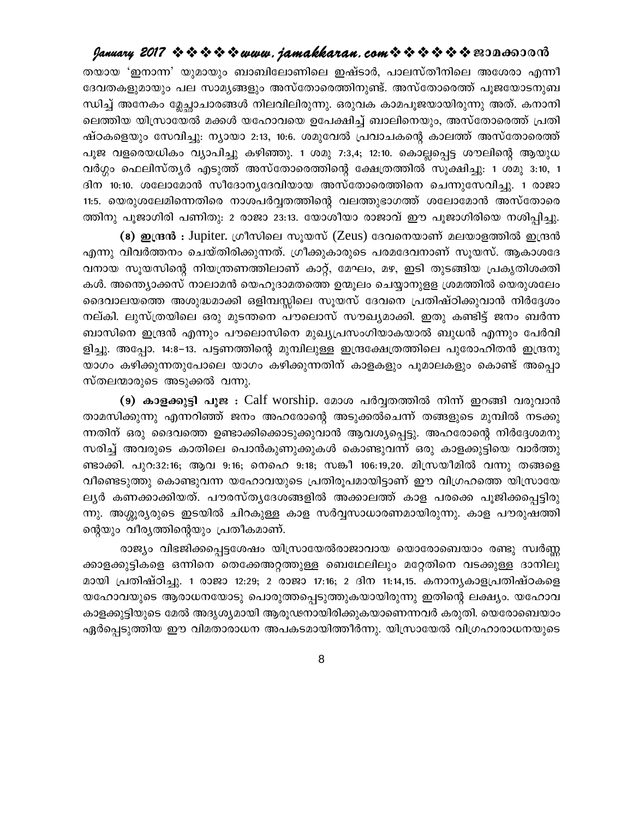#### January 2017 ❖ ❖ ❖ ❖ ❖ www.jamakkaran.com ❖ ❖ ❖ ❖ ❖ ≌3Da6S30 ൻ

തയായ 'ഇനാന്ന' യുമായും ബാബിലോണിലെ ഇഷ്ടാർ, പാലസ്തീനിലെ അശേരാ എന്നീ ദേവതകളുമായും പല സാമൃങ്ങളും അസ്തോരെത്തിനുണ്ട്. അസ്തോരെത്ത് പുജയോടനുബ ന്ധിച്ച് അനേകം മ്ലേച്ചാചാരങ്ങൾ നിലവിലിരുന്നു. ഒരുവക കാമപൂജയായിരുന്നു അത്. കനാനി ലെത്തിയ യിസ്രായേൽ മക്കൾ യഹോവയെ ഉപേക്ഷിച്ച് ബാലിനെയും, അസ്തോരെത്ത് പ്രതി ഷ്ഠകളെയും സേവിച്ചു: നൃായാ 2:13, 10:6. ശമുവേൽ പ്രവാചകന്റെ കാലത്ത് അസ്തോരെത്ത് പൂജ വളരെയധികം വ്യാപിച്ചു കഴിഞ്ഞു. 1 ശമു 7:3,4; 12:10. കൊല്ലപ്പെട്ട ശൗലിന്റെ ആയുധ വർഗ്ഗം ഫെലിസ്തൃർ എടുത്ത് അസ്തോരെത്തിന്റെ ക്ഷേത്രത്തിൽ സൂക്ഷിച്ചു: 1 ശമു 3:10, 1 ദിന 10:10. ശലോമോൻ സീദോന്യദേവിയായ അസ്തോരെത്തിനെ ചെന്നുസേവിച്ചു. 1 രാജാ 11:5. യെരുശലേമിന്നെതിരെ നാശപർവ്വതത്തിന്റെ വലത്തുഭാഗത്ത് ശലോമോൻ അസ്തോരെ ത്തിനു പൂജാഗിരി പണിതു: 2 രാജാ 23:13. യോശീയാ രാജാവ് ഈ പൂജാഗിരിയെ നശിപ്പിച്ചു.

(8) ഇന്ദ്രൻ : Jupiter. ഗ്രീസിലെ സുയസ് (Zeus) ദേവനെയാണ് മലയാളത്തിൽ ഇന്ദ്രൻ എന്നു വിവർത്തനം ചെയ്തിരിക്കുന്നത്. ഗ്രീക്കുകാരുടെ പരമദേവനാണ് സൂയസ്. ആകാശദേ വനായ സൂയസിന്റെ നിയന്ത്രണത്തിലാണ് കാറ്റ്, മേഘം, മഴ, ഇടി തുടങ്ങിയ പ്രകൃതിശക്തി കൾ. അന്ത്യൊക്കസ് നാലാമൻ യെഹൂദാമതത്തെ ഉന്മൂലം ചെയ്യാനുളള ശ്രമത്തിൽ യെരുശലേം ദൈവാലയത്തെ അശുദ്ധമാക്കി ഒളിമ്പസ്സിലെ സൂയസ് ദേവനെ പ്രതിഷ്ഠിക്കുവാൻ നിർദ്ദേശം നല്കി. ലുസ്ത്രയിലെ ഒരു മുടന്തനെ പൗലൊസ് സൗഖ്യമാക്കി. ഇതു കണ്ടിട്ട് ജനം ബർന്ന ബാസിനെ ഇന്ദ്രൻ എന്നും പൗലൊസിനെ മുഖ്യപ്രസംഗിയാകയാൽ ബുധൻ എന്നും പേർവി ളിച്ചു. അപ്പോ. 14:8–13. പട്ടണത്തിന്റെ മുമ്പിലുള്ള ഇന്ദ്രക്ഷേത്രത്തിലെ പുരോഹിതൻ ഇന്ദ്രനു യാഗം കഴിക്കുന്നതുപോലെ യാഗം കഴിക്കുന്നതിന് കാളകളും പൂമാലകളും കൊണ്ട് അപ്പൊ സ്തലന്മാരുടെ അടുക്കൽ വന്നു.

(9) കാളക്കുട്ടി പൂജ : Calf worship. മോശ പർവ്വതത്തിൽ നിന്ന് ഇറങ്ങി വരുവാൻ താമസിക്കുന്നു എന്നറിഞ്ഞ് ജനം അഹരോന്റെ അടുക്കൽചെന്ന് തങ്ങളുടെ മുമ്പിൽ നടക്കു ന്നതിന് ഒരു ദൈവത്തെ ഉണ്ടാക്കിക്കൊടുക്കുവാൻ ആവശ്യപ്പെട്ടു. അഹരോന്റെ നിർദ്ദേശമനു സരിച്ച് അവരുടെ കാതിലെ പൊൻകുണുക്കുകൾ കൊണ്ടുവന്ന് ഒരു കാളക്കുട്ടിയെ വാർത്തു ണ്ടാക്കി. പുറ:32:16; ആവ 9:16; നെഹെ 9:18; സങ്കീ 106:19,20. മിസ്രയീമിൽ വന്നു തങ്ങളെ വീണ്ടെടുത്തു കൊണ്ടുവന്ന യഹോവയുടെ പ്രതിരൂപമായിട്ടാണ് ഈ വിഗ്രഹത്തെ യിസ്രായേ ല്യർ കണക്കാക്കിയത്. പൗരസ്ത്യദേശങ്ങളിൽ അക്കാലത്ത് കാള പരക്കെ പൂജിക്കപ്പെട്ടിരു ന്നു. അശ്ശൂര്യരുടെ ഇടയിൽ ചിറകുള്ള കാള സർവ്വസാധാരണമായിരുന്നു. കാള പൗരുഷത്തി ന്റെയും വീര്യത്തിന്റെയും പ്രതീകമാണ്.

രാജ്യം വിഭജിക്കപ്പെട്ടശേഷം യിസ്രായേൽരാജാവായ യൊരോബെയാം രണ്ടു സ്വർണ്ണ ക്കാളക്കുട്ടികളെ ഒന്നിനെ തെക്കേഅറ്റത്തുള്ള ബെഥേലിലും മറ്റേതിനെ വടക്കുള്ള ദാനിലു മായി പ്രതിഷ്ഠിച്ചു. 1 രാജാ 12:29; 2 രാജാ 17:16; 2 ദിന 11:14,15. കനാന്യകാളപ്രതിഷ്ഠകളെ യഹോവയുടെ ആരാധനയോടു പൊരുത്തപ്പെടുത്തുകയായിരുന്നു ഇതിന്റെ ലക്ഷ്യം. യഹോവ കാളക്കുട്ടിയുടെ മേൽ അദൃശൃമായി ആരൂഢനായിരിക്കുകയാണെന്നവർ കരുതി. യെരോബെയാം ഏർപ്പെടുത്തിയ ഈ വിമതാരാധന അപകടമായിത്തീർന്നു. യിസ്രായേൽ വിഗ്രഹാരാധനയുടെ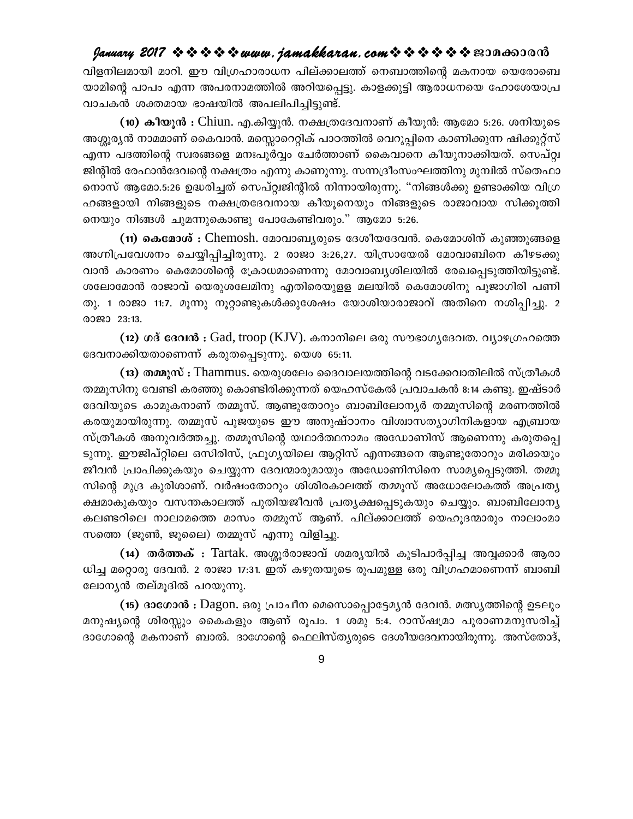#### January 2017 ❖ ❖ ❖ ❖ ❖ www.jamakkaran.com ❖ ❖ ❖ ❖ ❖ ※ ≌3Do63000

വിളനിലമായി മാറി. ഈ വിഗ്രഹാരാധന പില്ക്കാലത്ത് നെബാത്തിന്റെ മകനായ യെരോബെ യാമിന്റെ പാപം എന്ന അപരനാമത്തിൽ അറിയപ്പെട്ടു. കാളക്കുട്ടി ആരാധനയെ ഹോശേയാപ്ര വാചകൻ ശക്തമായ ഭാഷയിൽ അപലിപിച്ചിട്ടുണ്ട്.

(10) കീയൂൻ : Chiun. എ.കിയ്യൂൻ. നക്ഷത്രദേവനാണ് കീയൂൻ: ആമോ 5:26. ശനിയുടെ അശ്ശൂര്യൻ നാമമാണ് കൈവാൻ. മസ്സൊറെറ്റിക് പാഠത്തിൽ വെറുപ്പിനെ കാണിക്കുന്ന ഷിക്കുറ്റ്സ് എന്ന പദത്തിന്റെ സ്വരങ്ങളെ മനഃപൂർവ്വം ചേർത്താണ് കൈവാനെ കീയുനാക്കിയത്. സെപ്റ്റ്വ ജിന്റിൽ രേഫാൻദേവന്റെ നക്ഷത്രം എന്നു കാണുന്നു. സന്നദ്രീംസംഘത്തിനു മുമ്പിൽ സ്തെഫാ നൊസ് ആമോ.5:26 ഉദ്ധരിച്ചത് സെപ്റ്റ്വജിന്റിൽ നിന്നായിരുന്നു. "നിങ്ങൾക്കു ഉണ്ടാക്കിയ വിഗ്ര ഹങ്ങളായി നിങ്ങളുടെ നക്ഷത്രദേവനായ കീയൂനെയും നിങ്ങളുടെ രാജാവായ സിക്കൂത്തി നെയും നിങ്ങൾ ചുമന്നുകൊണ്ടു പോകേണ്ടിവരും." ആമോ 5:26.

(11) കെമോശ് : Chemosh. മോവാബൃരുടെ ദേശീയദേവൻ. കെമോശിന് കുഞ്ഞുങ്ങളെ അഗ്നിപ്രവേശനം ചെയ്യിപ്പിച്ചിരുന്നു. 2 രാജാ 3:26,27. യിസ്രായേൽ മോവാബിനെ കീഴടക്കു വാൻ കാരണം കെമോശിന്റെ ക്രോധമാണെന്നു മോവാബ്യശിലയിൽ രേഖപ്പെടുത്തിയിട്ടുണ്ട്. ശലോമോൻ രാജാവ് യെരുശലേമിനു എതിരെയുള്ള മലയിൽ കെമോശിനു പൂജാഗിരി പണി തു. 1 രാജാ 11:7. മൂന്നു നൂറ്റാണ്ടുകൾക്കുശേഷം യോശിയാരാജാവ് അതിനെ നശിപ്പിച്ചു. 2 രാജാ 23:13.

(12) ശദ് ദേവൻ : Gad, troop (KJV). കനാനിലെ ഒരു സൗഭാഗൃദേവത. വ്യാഴഗ്രഹത്തെ ദേവനാക്കിയതാണെന്ന് കരുതപ്പെടുന്നു. യെശ 65:11.

(13) തമ്മൂസ് : Thammus. യെരുശലേം ദൈവാലയത്തിന്റെ വടക്കേവാതിലിൽ സ്ത്രീകൾ തമ്മൂസിനു വേണ്ടി കരഞ്ഞു കൊണ്ടിരിക്കുന്നത് യെഹസ്കേൽ പ്രവാചകൻ 8:14 കണ്ടു. ഇഷ്ടാർ ദേവിയുടെ കാമുകനാണ് തമ്മുസ്. ആണ്ടുതോറും ബാബിലോന്യർ തമ്മുസിന്റെ മരണത്തിൽ കരയുമായിരുന്നു. തമ്മുസ് പുജയുടെ ഈ അനുഷ്ഠാനം വിശ്വാസത്യാഗിനികളായ എബ്രായ സ്ത്രീകൾ അനുവർത്തച്ചു. തമ്മൂസിന്റെ യഥാർത്ഥനാമം അഡോണിസ് ആണെന്നു കരുതപ്പെ ടുന്നു. ഈജിപ്റ്റിലെ ഒസിരിസ്, ഫ്രൂഗ്യയിലെ ആറ്റിസ് എന്നങ്ങനെ ആണ്ടുതോറും മരിക്കയും ജീവൻ പ്രാപിക്കുകയും ചെയ്യുന്ന ദേവന്മാരുമായും അഡോണിസിനെ സാമ്യപ്പെടുത്തി. തമ്മൂ സിന്റെ മുദ്ര കുരിശാണ്. വർഷംതോറും ശിശിരകാലത്ത് തമ്മൂസ് അധോലോകത്ത് അപ്രത്യ ക്ഷമാകുകയും വസന്തകാലത്ത് പുതിയജീവൻ പ്രത്യക്ഷപ്പെടുകയും ചെയ്യും. ബാബിലോന്യ കലണ്ടറിലെ നാലാമത്തെ മാസം തമ്മുസ് ആണ്. പില്ക്കാലത്ത് യെഹുദന്മാരും നാലാംമാ സത്തെ (ജൂൺ, ജൂലൈ) തമ്മൂസ് എന്നു വിളിച്ചു.

(14) തർത്തക് : Tartak. അശ്ശൂർരാജാവ് ശമര്യയിൽ കുടിപാർപ്പിച്ച അവ്വക്കാർ ആരാ ധിച്ച മറ്റൊരു ദേവൻ. 2 രാജാ 17:31. ഇത് കഴുതയുടെ രൂപമുള്ള ഒരു വിഗ്രഹമാണെന്ന് ബാബി ലോന്യൻ തല്മുദിൽ പറയുന്നു.

(15) ദാഗോൻ : Dagon. ഒരു പ്രാചീന മെസൊപ്പൊട്ടേമൃൻ ദേവൻ. മത്സൃത്തിന്റെ ഉടലും മനുഷ്യന്റെ ശിരസ്സും കൈകളും ആണ് രൂപം. 1 ശമു 5:4. റാസ്ഷമ്രാ പുരാണമനുസരിച്ച് ദാഗോന്റെ മകനാണ് ബാൽ. ദാഗോന്റെ ഫെലിസ്ത്യരുടെ ദേശീയദേവനായിരുന്നു. അസ്തോദ്,

 $\mathsf 9$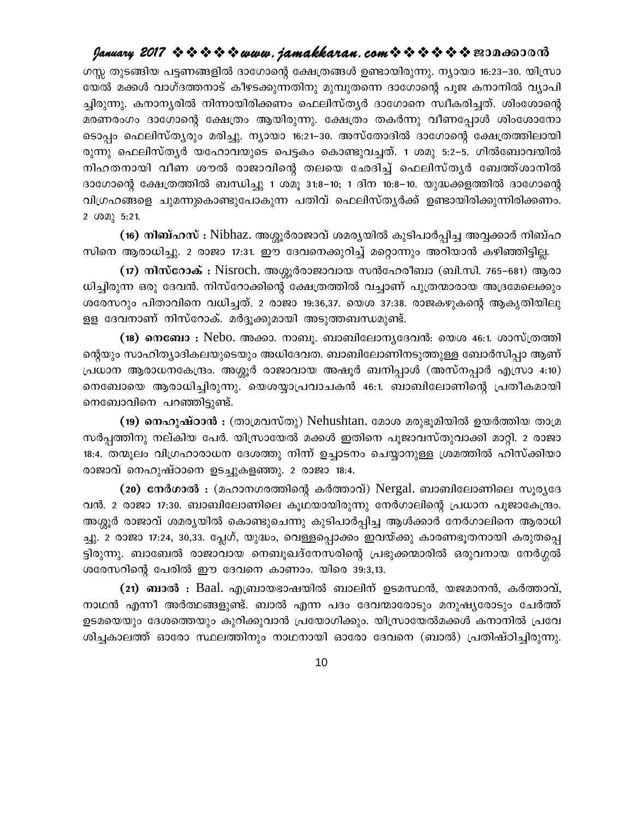ഗസ്സ തുടങ്ങിയ പട്ടണങ്ങളിൽ ദാഗോന്റെ ക്ഷേത്രങ്ങൾ ഉണ്ടായിരുന്നു. ന്യായാ 16:23–30. യിസ്രാ യേൽ മക്കൾ വാഗ്ദത്തനാട് കീഴടക്കുന്നതിനു മുമ്പുതന്നെ ദാഗോന്റെ പൂജ കനാനിൽ വ്യാപി ച്ചിരുന്നു. കനാന്യരിൽ നിന്നായിരിക്കണം ഫെലിസ്ത്യർ ദാഗോനെ സ്ഥീകരിച്ചത്. ശിംശോന്റെ മരണരംഗം ദാഗോന്റെ ക്ഷേത്രം ആയിരുന്നു. ക്ഷേത്രം തകർന്നു വീണപ്പോൾ ശിംശോനോ ടൊപ്പം ഫെലിസ്തൃരും മരിച്ചു. ന്യായാ 16:21–30. അസ്തോദിൽ ദാഗോന്റെ ക്ഷേത്രത്തിലായി രുന്നു ഫെലിസ്ത്യർ യഹോവയുടെ പെട്ടകം കൊണ്ടുവച്ചത്. 1 ശമു 5:2–5. ഗിൽബോവയിൽ നിഹതനായി വീണ ശൗൽ രാജാവിന്റെ തലയെ ഛേദിച്ച് ഫെലിസ്തൃർ ബേത്ത്ശാനിൽ ദാഗോന്റെ ക്ഷേത്രത്തിൽ ബന്ധിച്ചു 1 ശമൂ 31:8–10; 1 ദിന 10:8–10. യുദ്ധക്കളത്തിൽ ദാഗോന്റെ വിഗ്രഹങ്ങളെ ചുമന്നുകൊണ്ടുപോകുന്ന പതിവ് ഫെലിസ്തൃർക്ക് ഉണ്ടായിരിക്കുന്നിരിക്കണം. 2 (02) 5:21.

(16) നിബ്ഹസ് : Nibhaz. അശ്ശൂർരാജാവ് ശമരൃയിൽ കുടിപാർപ്പിച്ച അവ്വക്കാർ നിബ്ഹ സിനെ ആരാധിച്ചു. 2 രാജാ 17:31. ഈ ദേവനെക്കുറിച്ച് മറ്റൊന്നും അറിയാൻ കഴിഞ്ഞിട്ടില്ല.

(17) നിസ്റോക് : Nisroch. അശ്ശൂർരാജാവായ സൻഹേരീബാ (ബി.സി. 765–681) ആരാ ധിച്ചിരുന്ന ഒരു ദേവൻ. നിസ്റോക്കിന്റെ ക്ഷേത്രത്തിൽ വച്ചാണ് പുത്രന്മാരായ അദ്രമേലെക്കും ശരേസറും പിതാവിനെ വധിച്ചത്. 2 രാജാ 19:36,37. യെശ 37:38. രാജകഴുകന്റെ ആകൃതിയിലു ളള ദേവനാണ് നിസ്റോക്. മർദ്ദൂക്കുമായി അടുത്തബന്ധമുണ്ട്.

(18) നെബോ : Nebo. അക്കാ. നാബൂ. ബാബിലോന്യദേവൻ: യെശ 46:1. ശാസ്ത്രത്തി ന്റെയും സാഹിത്യാദികലയുടെയും അധിദേവത. ബാബിലോണിനടുത്തുള്ള ബോർസിപ്പാ ആണ് പ്രധാന ആരാധനകേന്ദ്രം. അശ്ശൂർ രാജാവായ അഷൂർ ബനിപ്പാൾ (അസ്നപ്പാർ എസ്രാ 4:10) നെബോയെ ആരാധിച്ചിരുന്നു. യെശയ്യാപ്രവാചകൻ 46:1. ബാബിലോണിന്റെ പ്രതീകമായി നെബോവിനെ പറഞ്ഞിട്ടുണ്ട്.

(19) നെഹുഷ്ഠാൻ : (താമ്രവസ്തു) Nehushtan. മോശ മരുഭൂമിയിൽ ഉയർത്തിയ താമ്ര സർപ്പത്തിനു നല്കിയ പേർ. യിസ്രായേൽ മക്കൾ ഇതിനെ പുജാവസ്തുവാക്കി മാറ്റി. 2 രാജാ 18:4. തന്മൂലം വിഗ്രഹാരാധന ദേശത്തു നിന്ന് ഉച്ചാടനം ചെയ്യാനുള്ള ശ്രമത്തിൽ ഹിസ്ക്കിയാ രാജാവ് നെഹുഷ്ഠാനെ ഉടച്ചുകളഞ്ഞു. 2 രാജാ 18:4.

(20) നേർഗാൽ : (മഹാനഗരത്തിന്റെ കർത്താവ്) Nergal. ബാബിലോണിലെ സുര്യദേ വൻ. 2 രാജാ 17:30. ബാബിലോണിലെ കൂഥയായിരുന്നു നേർഗാലിന്റെ പ്രധാന പൂജാകേന്ദ്രം. അശ്ശൂർ രാജാവ് ശമര്യയിൽ കൊണ്ടുചെന്നു കുടിപാർപ്പിച്ച ആൾക്കാർ നേർഗാലിനെ ആരാധി ച്ചു. 2 രാജാ 17:24, 30,33. പ്ലേഗ്, യുദ്ധം, വെള്ളപ്പൊക്കം ഇവയ്ക്കു കാരണഭൂതനായി കരുതപ്പെ ട്ടിരുന്നു. ബാബേൽ രാജാവായ നെബൂഖദ്നേസരിന്റെ പ്രഭുക്കന്മാരിൽ ഒരുവനായ നേർഗ്ഗൽ ശരേസറിന്റെ പേരിൽ ഈ ദേവനെ കാണാം. യിരെ 39:3,13.

(21) ബാൽ : Baal. എബ്രായഭാഷയിൽ ബാലിന് ഉടമസ്ഥൻ, യജമാനൻ, കർത്താവ്, നാഥൻ എന്നീ അർത്ഥങ്ങളുണ്ട്. ബാൽ എന്ന പദം ദേവന്മാരോടും മനുഷൃരോടും ചേർത്ത് ഉടമയെയും ദേശത്തെയും കുറിക്കുവാൻ പ്രയോഗിക്കും. യിസ്രായേൽമക്കൾ കനാനിൽ പ്രവേ ശിച്ചകാലത്ത് ഓരോ സ്ഥലത്തിനും നാഥനായി ഓരോ ദേവനെ (ബാൽ) പ്രതിഷ്ഠിച്ചിരുന്നു.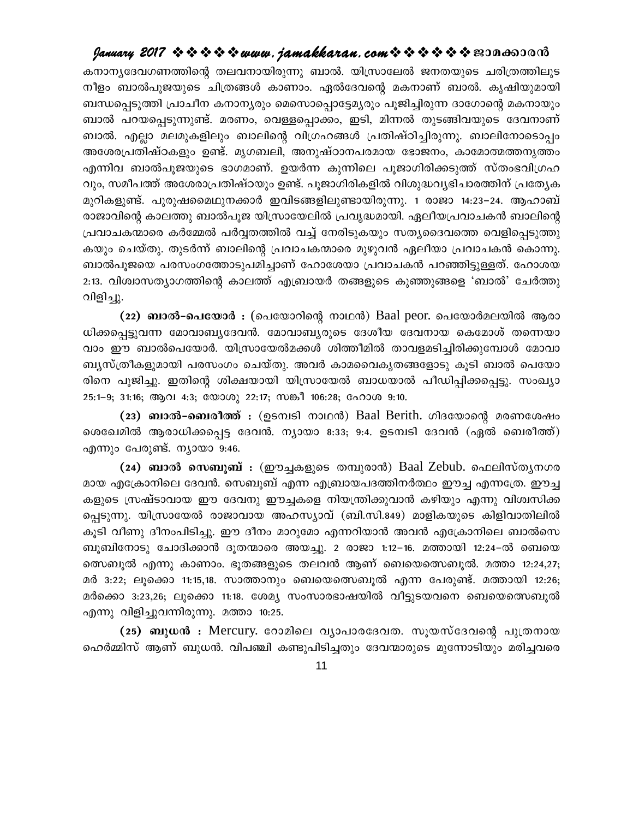കനാനൃദേവഗണത്തിന്റെ തലവനായിരുന്നു ബാൽ. യിസ്രാലേൽ ജനതയുടെ ചരിത്രത്തിലുട നീളം ബാൽപൂജയുടെ ചിത്രങ്ങൾ കാണാം. ഏൽദേവന്റെ മകനാണ് ബാൽ. കൃഷിയുമായി ബന്ധപ്പെടുത്തി പ്രാചീന കനാനൃരും മെസൊപ്പൊട്ടേമൃരും പൂജിച്ചിരുന്ന ദാഗോന്റെ മകനായും ബാൽ പറയപ്പെടുന്നുണ്ട്. മരണം, വെള്ളപ്പൊക്കം, ഇടി, മിന്നൽ തുടങ്ങിവയുടെ ദേവനാണ് ബാൽ. എല്ലാ മലമുകളിലും ബാലിന്റെ വിഗ്രഹങ്ങൾ പ്രതിഷ്ഠിച്ചിരുന്നു. ബാലിനോടൊപ്പം അശേരപ്രതിഷ്ഠകളും ഉണ്ട്. മൃഗബലി, അനുഷ്ഠാനപരമായ ഭോജനം, കാമോത്മത്തനൃത്തം എന്നിവ ബാൽപുജയുടെ ഭാഗമാണ്. ഉയർന്ന കുന്നിലെ പൂജാഗിരിക്കടുത്ത് സ്തംഭവിഗ്രഹ വും, സമീപത്ത് അശേരാപ്രതിഷ്ഠയും ഉണ്ട്. പുജാഗിരികളിൽ വിശുദ്ധവ്യഭിചാരത്തിന് പ്രത്യേക മുറികളുണ്ട്. പുരുഷമൈഥുനക്കാർ ഇവിടങ്ങളിലുണ്ടായിരുന്നു. 1 രാജാ 14:23–24. ആഹാബ് രാജാവിന്റെ കാലത്തു ബാൽപൂജ യിസ്രായേലിൽ പ്രവൃദ്ധമായി. ഏലീയപ്രവാചകൻ ബാലിന്റെ പ്രവാചകന്മാരെ കർമ്മേൽ പർവ്വതത്തിൽ വച്ച് നേരിടുകയും സത്യദൈവത്തെ വെളിപ്പെടുത്തു കയും ചെയ്തു. തുടർന്ന് ബാലിന്റെ പ്രവാചകന്മാരെ മുഴുവൻ ഏലീയാ പ്രവാചകൻ കൊന്നു. ബാൽപൂജയെ പരസംഗത്തോടുപമിച്ചാണ് ഹോശേയാ പ്രവാചകൻ പറഞ്ഞിട്ടുള്ളത്. ഹോശയ 2:13. വിശ്വാസത്യാഗത്തിന്റെ കാലത്ത് എബ്രായർ തങ്ങളുടെ കുഞ്ഞുങ്ങളെ 'ബാൽ' ചേർത്തു വിളിച്ചു.

(22) **ബാൽ-പെയോർ** : (പെയോറിന്റെ നാഥൻ) Baal peor. പെയോർമലയിൽ ആരാ ധിക്കപ്പെട്ടുവന്ന മോവാബ്യദേവൻ. മോവാബ്യരുടെ ദേശീയ ദേവനായ കെമോശ് തന്നെയാ വാം ഈ ബാൽപെയോർ. യിസ്രായേൽമക്കൾ ശിത്തീമിൽ താവളമടിച്ചിരിക്കുമ്പോൾ മോവാ ബൃസ്ത്രീകളുമായി പരസംഗം ചെയ്തു. അവർ കാമവൈകൃതങ്ങളോടു കൂടി ബാൽ പെയോ രിനെ പൂജിച്ചു. ഇതിന്റെ ശിക്ഷയായി യിസ്രായേൽ ബാധയാൽ പീഡിപ്പിക്കപ്പെട്ടു. സംഖ്യാ 25:1-9; 31:16; ആവ 4:3; യോശു 22:17; സങ്കീ 106:28; ഹോശ 9:10.

(23) **ബാൽ-ബെരീത്ത്** : (ഉടമ്പടി നാഥൻ) Baal Berith. ഗിദയോന്റെ മരണശേഷം ശെഖേമിൽ ആരാധിക്കപ്പെട്ട ദേവൻ. ന്യായാ 8:33; 9:4. ഉടമ്പടി ദേവൻ (ഏൽ ബെരീത്ത്) എന്നും പേരുണ്ട്. ന്യായാ 9:46.

(24) ബാൽ സെബുബ് : (ഈച്ചകളുടെ തമ്പുരാൻ) Baal Zebub. ഫെലിസ്തൃനഗര മായ എക്രോനിലെ ദേവൻ. സെബൂബ് എന്ന എബ്രായപദത്തിനർത്ഥം ഈച്ച എന്നത്രേ. ഈച്ച കളുടെ സ്രഷ്ടാവായ ഈ ദേവനു ഈച്ചകളെ നിയന്ത്രിക്കുവാൻ കഴിയും എന്നു വിശ്വസിക്ക പ്പെടുന്നു. യിസ്രായേൽ രാജാവായ അഹസ്യാവ് (ബി.സി.849) മാളികയുടെ കിളിവാതിലിൽ കുടി വീണു ദീനംപിടിച്ചു. ഈ ദീനം മാറുമോ എന്നറിയാൻ അവൻ എക്രോനിലെ ബാൽസെ ബുബിനോടു ചോദിക്കാൻ ദുതന്മാരെ അയച്ചു. 2 രാജാ 1:12–16. മത്തായി 12:24–ൽ ബെയെ തെ്സബൂൽ എന്നു കാണാം. ഭൂതങ്ങളുടെ തലവൻ ആണ് ബെയെത്സെബൂൽ. മത്താ 12:24,27; മർ 3:22; ലൂക്കൊ 11:15,18. സാത്താനും ബെയെത്സെബൂൽ എന്ന പേരുണ്ട്. മത്തായി 12:26; മർക്കൊ 3:23,26; ലൂക്കൊ 11:18. ശേമ്യ സംസാരഭാഷയിൽ വീട്ടുടയവനെ ബെയെസെബൂൽ എന്നു വിളിച്ചുവന്നിരുന്നു. മത്താ 10:25.

(25) **ബുധൻ :** Mercury. റോമിലെ വ്യാപാരദേവത. സൂയസ്ദേവന്റെ പുത്രനായ ഹെർമ്മിസ് ആണ് ബുധൻ. വിപഞ്ചി കണ്ടുപിടിച്ചതും ദേവന്മാരുടെ മുന്നോടിയും മരിച്ചവരെ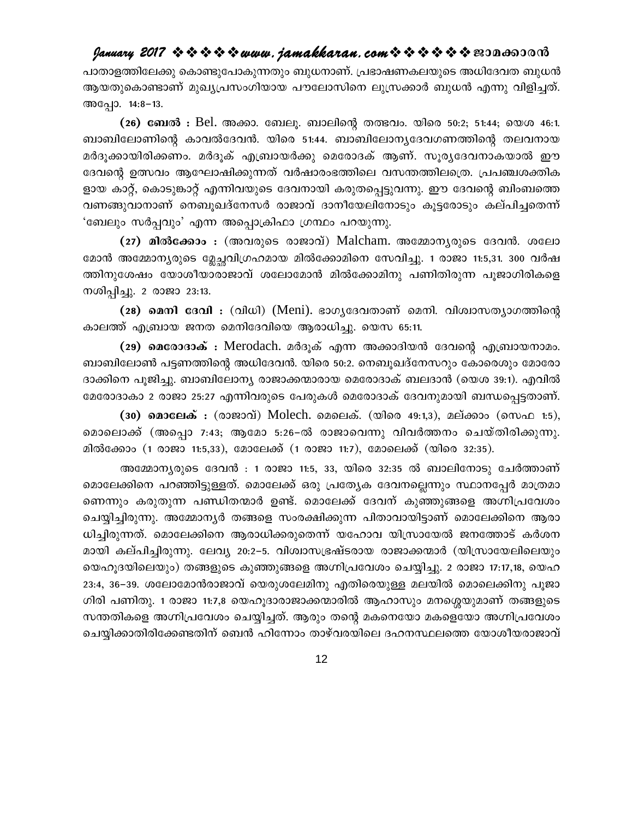പാതാളത്തിലേക്കു കൊണ്ടുപോകുന്നതും ബുധനാണ്. പ്രഭാഷണകലയുടെ അധിദേവത ബുധൻ ആയതുകൊണ്ടാണ് മുഖ്യപ്രസംഗിയായ പൗലോസിനെ ലുസ്രക്കാർ ബുധൻ എന്നു വിളിച്ചത്. അപ്പോ. 14:8-13.

(26) ബേൽ : Bel. അക്കാ. ബേലൂ. ബാലിന്റെ തത്ഭവം. യിരെ 50:2; 51:44; യെശ 46:1. ബാബിലോണിന്റെ കാവൽദേവൻ. യിരെ 51:44. ബാബിലോന്യദേവഗണത്തിന്റെ തലവനായ മർദൂക്കായിരിക്കണം. മർദൂക് എബ്രായർക്കു മെരോദക് ആണ്. സൂര്യദേവനാകയാൽ ഈ ദേവന്റെ ഉത്സവം ആഘോഷിക്കുന്നത് വർഷാരംഭത്തിലെ വസന്തത്തിലത്രെ. പ്രപഞ്ചശക്തിക ളായ കാറ്റ്, കൊടുങ്കാറ്റ് എന്നിവയുടെ ദേവനായി കരുതപ്പെട്ടുവന്നു. ഈ ദേവന്റെ ബിംബത്തെ വണങ്ങുവാനാണ് നെബൂഖദ്നേസർ രാജാവ് ദാനീയേലിനോടും കൂട്ടരോടും കല്പിച്ചതെന്ന് 'ബേലും സർപ്പവും' എന്ന അപ്പൊക്രിഫാ ഗ്രന്ഥം പറയുന്നു.

(27) മിൽക്കോം : (അവരുടെ രാജാവ്) Malcham. അമ്മോന്യരുടെ ദേവൻ. ശലോ മോൻ അമ്മോന്യരുടെ മ്ലേച്ചവിഗ്രഹമായ മിൽക്കോമിനെ സേവിച്ചു. 1 രാജാ 11:5,31. 300 വർഷ ത്തിനുശേഷം യോശീയാരാജാവ് ശലോമോൻ മിൽക്കോമിനു പണിതിരുന്ന പൂജാഗിരികളെ നശിപ്പിച്ചു. 2 രാജാ 23:13.

(28) **മെനി ദേവി** : (വിധി) (Meni). ഭാഗൃദേവതാണ് മെനി. വിശ്വാസത്യാഗത്തിന്റെ കാലത്ത് എബ്രായ ജനത മെനിദേവിയെ ആരാധിച്ചു. യെസ 65:11.

(29) മെരോദാക് : Merodach. മർദൂക് എന്ന അക്കാദിയൻ ദേവന്റെ എബ്രായനാമം. ബാബിലോൺ പട്ടണത്തിന്റെ അധിദേവൻ. യിരെ 50:2. നെബൂഖദ്നേസറും കോരെശും മോരോ ദാക്കിനെ പൂജിച്ചു. ബാബിലോന്യ രാജാക്കന്മാരായ മെരോദാക് ബലദാൻ (യെശ 39:1). എവിൽ മേരോദാകാ 2 രാജാ 25:27 എന്നിവരുടെ പേരുകൾ മെരോദാക് ദേവനുമായി ബന്ധപ്പെട്ടതാണ്.

(30) മൊലേക് : (രാജാവ്) Molech. മെലെക്. (യിരെ 49:1,3), മല്ക്കാം (സെഫ 1:5), മൊലൊക്ക് (അപ്പൊ 7:43; ആമോ 5:26–ൽ രാജാവെന്നു വിവർത്തനം ചെയ്തിരിക്കുന്നു. മിൽക്കോം (1 രാജാ 11:5,33), മോലേക്ക് (1 രാജാ 11:7), മോലെക്ക് (യിരെ 32:35).

അമ്മോന്യരുടെ ദേവൻ : 1 രാജാ 11:5, 33, യിരെ 32:35 ൽ ബാലിനോടു ചേർത്താണ് മൊലേക്കിനെ പറഞ്ഞിട്ടുള്ളത്. മൊലേക്ക് ഒരു പ്രത്യേക ദേവനല്ലെന്നും സ്ഥാനപ്പേർ മാത്രമാ ണെന്നും കരുതുന്ന പണ്ഡിതന്മാർ ഉണ്ട്. മൊലേക്ക് ദേവന് കുഞ്ഞുങ്ങളെ അഗ്നിപ്രവേശം ചെയ്യിച്ചിരുന്നു. അമ്മോന്യർ തങ്ങളെ സംരക്ഷിക്കുന്ന പിതാവായിട്ടാണ് മൊലേക്കിനെ ആരാ ധിച്ചിരുന്നത്. മൊലേക്കിനെ ആരാധിക്കരുതെന്ന് യഹോവ യിസ്രായേൽ ജനത്തോട് കർശന മായി കല്പിച്ചിരുന്നു. ലേവ്യ 20:2–5. വിശ്വാസഭ്രഷ്ടരായ രാജാക്കന്മാർ (യിസ്രായേലിലെയും യെഹുദയിലെയും) തങ്ങളുടെ കുഞ്ഞുങ്ങളെ അഗ്നിപ്രവേശം ചെയ്യിച്ചു. 2 രാജാ 17:17,18, യെഹ 23:4, 36–39. ശലോമോൻരാജാവ് യെരുശലേമിനു എതിരെയുള്ള മലയിൽ മൊലെക്കിനു പൂജാ ഗിരി പണിതു. 1 രാജാ 11:7,8 യെഹൂദാരാജാക്കന്മാരിൽ ആഹാസും മനശ്ശെയുമാണ് തങ്ങളുടെ സന്തതികളെ അഗ്നിപ്രവേശം ചെയ്യിച്ചത്. ആരും തന്റെ മകനെയോ മകളെയോ അഗ്നിപ്രവേശം ചെയ്യിക്കാതിരിക്കേണ്ടതിന് ബെൻ ഹിന്നോം താഴ്വരയിലെ ദഹനസ്ഥലത്തെ യോശീയരാജാവ്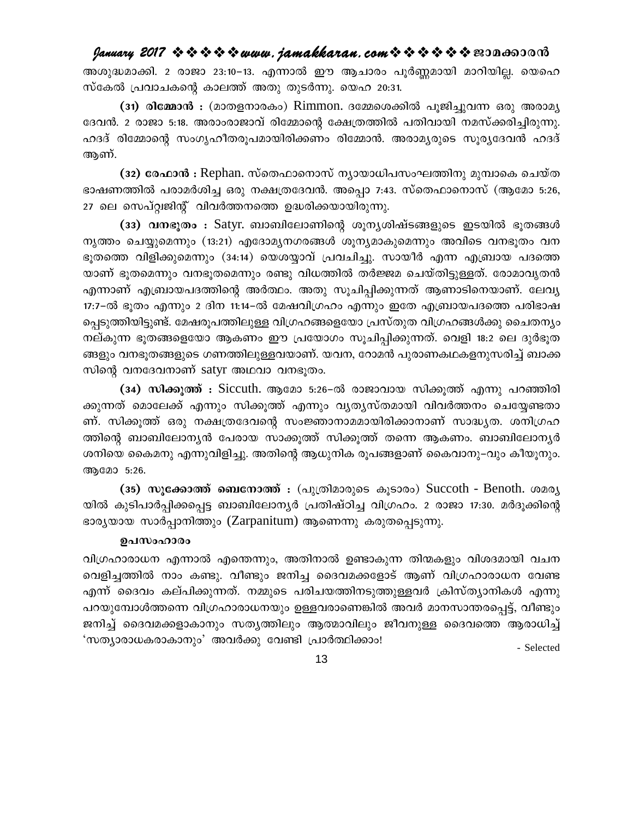അശുദ്ധമാക്കി. 2 രാജാ 23:10–13. എന്നാൽ ഈ ആചാരം പൂർണ്ണമായി മാറിയില്ല. യെഹെ സ്കേൽ പ്രവാചകന്റെ കാലത്ത് അതു തുടർന്നു. യെഹ 20:31.

(31) രിമ്മോൻ : (മാതളനാരകം) Rimmon. ദമ്മേശെക്കിൽ പുജിച്ചുവന്ന ഒരു അരാമ്യ ദേവൻ. 2 രാജാ 5:18. അരാംരാജാവ് രിമ്മോന്റെ ക്ഷേത്രത്തിൽ പതിവായി നമസ്ക്കരിച്ചിരുന്നു. ഹദദ് രിമ്മോന്റെ സംഗൃഹീതരുപമായിരിക്കണം രിമ്മോൻ. അരാമൃരുടെ സുരൃദേവൻ ഹദദ് ആണ്.

(32) രേഫാൻ : Rephan. സ്തെഫാനൊസ് ന്യായാധിപസംഘത്തിനു മുമ്പാകെ ചെയ്ത ഭാഷണത്തിൽ പരാമർശിച്ച ഒരു നക്ഷത്രദേവൻ. അപ്പൊ 7:43. സ്തെഫാനൊസ് (ആമോ 5:26, 27 ലെ സെപ്റ്റ്വജിന്റ് വിവർത്തനത്തെ ഉദ്ധരിക്കയായിരുന്നു.

(33) വനഭൂതം : Satyr. ബാബിലോണിന്റെ ശൂന്യശിഷ്ടങ്ങളുടെ ഇടയിൽ ഭൂതങ്ങൾ നൃത്തം ചെയ്യുമെന്നും (13:21) എദോമൃനഗരങ്ങൾ ശൂനൃമാകുമെന്നും അവിടെ വനഭൂതം വന ഭൂതത്തെ വിളിക്കുമെന്നും (34:14) യെശയ്യാവ് പ്രവചിച്ചു. സായീർ എന്ന എബ്രായ പദത്തെ യാണ് ഭുതമെന്നും വനഭുതമെന്നും രണ്ടു വിധത്തിൽ തർജ്ജമ ചെയ്തിട്ടുള്ളത്. രോമാവൃതൻ എന്നാണ് എബ്രായപദത്തിന്റെ അർത്ഥം. അതു സൂചിപ്പിക്കുന്നത് ആണാടിനെയാണ്. ലേവ്യ 17:7-ൽ ഭൂതം എന്നും 2 ദിന 11:14-ൽ മേഷവിഗ്രഹം എന്നും ഇതേ എബ്രായപദത്തെ പരിഭാഷ പ്പെടുത്തിയിട്ടുണ്ട്. മേഷരൂപത്തിലുള്ള വിഗ്രഹങ്ങളെയോ പ്രസ്തുത വിഗ്രഹങ്ങൾക്കു ചൈതന്യം നല്കുന്ന ഭൂതങ്ങളെയോ ആകണം ഈ പ്രയോഗം സൂചിപ്പിക്കുന്നത്. വെളി 18:2 ലെ ദുർഭൂത ങ്ങളും വനഭുതങ്ങളുടെ ഗണത്തിലുള്ളവയാണ്. യവന, റോമൻ പുരാണകഥകളനുസരിച്ച് ബാക്ക സിന്റെ വനദേവനാണ് satyr അഥവാ വനഭൂതം.

(34) സിക്കുത്ത് : Siccuth. ആമോ 5:26–ൽ രാജാവായ സിക്കൂത്ത് എന്നു പറഞ്ഞിരി ക്കുന്നത് മൊലേക്ക് എന്നും സിക്കൂത്ത് എന്നും വൃത്യസ്തമായി വിവർത്തനം ചെയ്യേണ്ടതാ ണ്. സിക്കുത്ത് ഒരു നക്ഷത്രദേവന്റെ സംജ്ഞാനാമമായിരിക്കാനാണ് സാദ്ധ്യത. ശനിഗ്രഹ ത്തിന്റെ ബാബിലോനൃൻ പേരായ സാക്കൂത്ത് സിക്കൂത്ത് തന്നെ ആകണം. ബാബിലോനൃർ ശനിയെ കൈമനു എന്നുവിളിച്ചു. അതിന്റെ ആധുനിക രൂപങ്ങളാണ് കൈവാനു–വും കീയൂനും. ആമോ 5:26.

(35) സൂ**ക്കോത്ത് ബെനോത്ത്** : (പുത്രിമാരുടെ കൂടാരം) Succoth - Benoth. ശമര്യ യിൽ കുടിപാർപ്പിക്കപ്പെട്ട ബാബിലോന്യർ പ്രതിഷ്ഠിച്ച വിഗ്രഹം. 2 രാജാ 17:30. മർദൂക്കിന്റെ ഭാരൃയായ സാർപ്പാനിത്തും (Zarpanitum) ആണെന്നു കരുതപ്പെടുന്നു.

#### ഉപസംഹാരം

വിഗ്രഹാരാധന എന്നാൽ എന്തെന്നും, അതിനാൽ ഉണ്ടാകുന്ന തിന്മകളും വിശദമായി വചന വെളിച്ചത്തിൽ നാം കണ്ടു. വീണ്ടും ജനിച്ച ദൈവമക്കളോട് ആണ് വിഗ്രഹാരാധന വേണ്ട എന്ന് ദൈവം കല്പിക്കുന്നത്. നമ്മുടെ പരിചയത്തിനടുത്തുള്ളവർ ക്രിസ്ത്യാനികൾ എന്നു പറയുമ്പോൾത്തന്നെ വിഗ്രഹാരാധനയും ഉള്ളവരാണെങ്കിൽ അവർ മാനസാന്തരപ്പെട്ട്, വീണ്ടും ജനിച്ച് ദൈവമക്കളാകാനും സത്യത്തിലും ആത്മാവിലും ജീവനുള്ള ദൈവത്തെ ആരാധിച്ച് 'സത്യാരാധകരാകാനും' അവർക്കു വേണ്ടി പ്രാർത്ഥിക്കാം! - Selected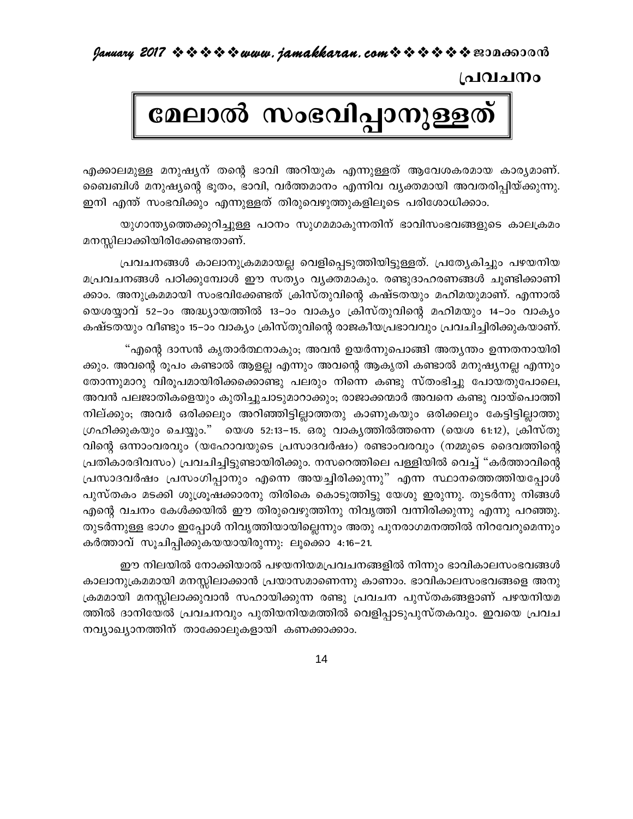പ്രവചനം

# മേലാൽ സംഭവിപ്പാനുള്ളത്

എക്കാലമുള്ള മനുഷ്യന് തന്റെ ഭാവി അറിയുക എന്നുള്ളത് ആവേശകരമായ കാര്യമാണ്. ബൈബിൾ മനുഷ്യന്റെ ഭൂതം, ഭാവി, വർത്തമാനം എന്നിവ വ്യക്തമായി അവതരിപ്പിയ്ക്കുന്നു. ഇനി എന്ത് സംഭവിക്കും എന്നുള്ളത് തിരുവെഴുത്തുകളിലൂടെ പരിശോധിക്കാം.

യുഗാന്ത്യത്തെക്കുറിച്ചുള്ള പഠനം സുഗമമാകുന്നതിന് ഭാവിസംഭവങ്ങളുടെ കാലക്രമം മനസ്സിലാക്കിയിരിക്കേണ്ടതാണ്.

പ്രവചനങ്ങൾ കാലാനുക്രമമായല്ല വെളിപ്പെടുത്തിയിട്ടുള്ളത്. പ്രത്യേകിച്ചും പഴയനിയ മപ്രവചനങ്ങൾ പഠിക്കുമ്പോൾ ഈ സത്യം വ്യക്തമാകും. രണ്ടുദാഹരണങ്ങൾ ചുണ്ടിക്കാണി ക്കാം. അനുക്രമമായി സംഭവിക്കേണ്ടത് ക്രിസ്തുവിന്റെ കഷ്ടതയും മഹിമയുമാണ്. എന്നാൽ യെശയ്യാവ് 52–ാം അദ്ധ്യായത്തിൽ 13–ാം വാക്യം ക്രിസ്തുവിന്റെ മഹിമയും 14–ാം വാക്യം കഷ്ടതയും വീണ്ടും 15–ാം വാക്യം ക്രിസ്തുവിന്റെ രാജകീയപ്രഭാവവും പ്രവചിച്ചിരിക്കുകയാണ്.

"എന്റെ ദാസൻ കൃതാർത്ഥനാകും; അവൻ ഉയർന്നുപൊങ്ങി അതൃന്തം ഉന്നതനായിരി ക്കും. അവന്റെ രൂപം കണ്ടാൽ ആളല്ല എന്നും അവന്റെ ആകൃതി കണ്ടാൽ മനുഷ്യനല്ല എന്നും തോന്നുമാറു വിരൂപമായിരിക്കക്കൊണ്ടു പലരും നിന്നെ കണ്ടു സ്തംഭിച്ചു പോയതുപോലെ, അവൻ പലജാതികളെയും കുതിച്ചുചാടുമാറാക്കും; രാജാക്കന്മാർ അവനെ കണ്ടു വായ്പൊത്തി നില്ക്കും; അവർ ഒരിക്കലും അറിഞ്ഞിട്ടില്ലാത്തതു കാണുകയും ഒരിക്കലും കേട്ടിട്ടില്ലാത്തു ഗ്രഹിക്കുകയും ചെയ്യും." യെശ 52:13–15. ഒരു വാകൃത്തിൽത്തന്നെ (യെശ 61:12), ക്രിസ്തു വിന്റെ ഒന്നാംവരവും (യഹോവയുടെ പ്രസാദവർഷം) രണ്ടാംവരവും (നമ്മുടെ ദൈവത്തിന്റെ പ്രതികാരദിവസം) പ്രവചിച്ചിട്ടുണ്ടായിരിക്കും. നസറെത്തിലെ പള്ളിയിൽ വെച്ച് "കർത്താവിന്റെ പ്രസാദവർഷം പ്രസംഗിപ്പാനും എന്നെ അയച്ചിരിക്കുന്നു" എന്ന സ്ഥാനത്തെത്തിയപ്പോൾ പുസ്തകം മടക്കി ശുശ്രൂഷക്കാരനു തിരികെ കൊടുത്തിട്ടു യേശു ഇരുന്നു. തുടർന്നു നിങ്ങൾ എന്റെ വചനം കേൾക്കയിൽ ഈ തിരുവെഴുത്തിനു നിവൃത്തി വന്നിരിക്കുന്നു എന്നു പറഞ്ഞു. തുടർന്നുള്ള ഭാഗം ഇപ്പോൾ നിവൃത്തിയായില്ലെന്നും അതു പുനരാഗമനത്തിൽ നിറവേറുമെന്നും കർത്താവ് സൂചിപ്പിക്കുകയയായിരുന്നു: ലൂക്കൊ 4:16−21.

ഈ നിലയിൽ നോക്കിയാൽ പഴയനിയമപ്രവചനങ്ങളിൽ നിന്നും ഭാവികാലസംഭവങ്ങൾ കാലാനുക്രമമായി മനസ്സിലാക്കാൻ പ്രയാസമാണെന്നു കാണാം. ഭാവികാലസംഭവങ്ങളെ അനു ക്രമമായി മനസ്സിലാക്കുവാൻ സഹായിക്കുന്ന രണ്ടു പ്രവചന പുസ്തകങ്ങളാണ് പഴയനിയമ ത്തിൽ ദാനിയേൽ പ്രവചനവും പുതിയനിയമത്തിൽ വെളിപ്പാടുപുസ്തകവും. ഇവയെ പ്രവച നവ്യാഖ്യാനത്തിന് താക്കോലുകളായി കണക്കാക്കാം.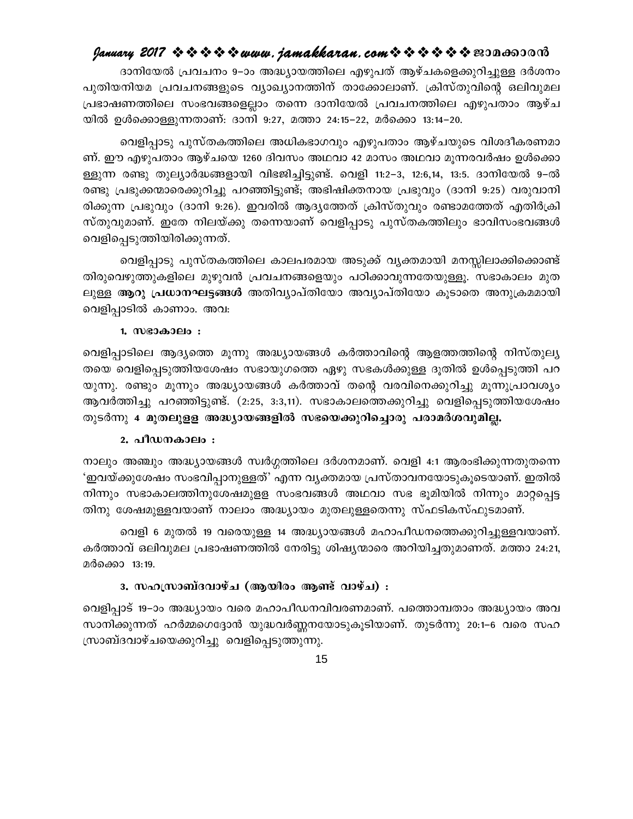ദാനിയേൽ പ്രവചനം 9–ാം അദ്ധ്യായത്തിലെ എഴുപത് ആഴ്ചകളെക്കുറിച്ചുള്ള ദർശനം പുതിയനിയമ പ്രവചനങ്ങളുടെ വ്യാഖ്യാനത്തിന് താക്കോലാണ്. ക്രിസ്തുവിന്റെ ഒലിവുമല പ്രഭാഷണത്തിലെ സംഭവങ്ങളെല്ലാം തന്നെ ദാനിയേൽ പ്രവചനത്തിലെ എഴുപതാം ആഴ്ച യിൽ ഉൾക്കൊള്ളുന്നതാണ്: ദാനി 9:27, മത്താ 24:15–22, മർക്കൊ 13:14–20.

വെളിപ്പാടു പുസ്തകത്തിലെ അധികഭാഗവും എഴുപതാം ആഴ്ചയുടെ വിശദീകരണമാ ണ്. ഈ എഴുപതാം ആഴ്ചയെ 1260 ദിവസം അഥവാ 42 മാസം അഥവാ മൂന്നരവർഷം ഉൾക്കൊ ള്ളുന്ന രണ്ടു തുല്യാർദ്ധങ്ങളായി വിഭജിച്ചിട്ടുണ്ട്. വെളി 11:2–3, 12:6,14, 13:5. ദാനിയേൽ 9–ൽ രണ്ടു പ്രഭുക്കന്മാരെക്കുറിച്ചു പറഞ്ഞിട്ടുണ്ട്; അഭിഷിക്തനായ പ്രഭുവും (ദാനി 9:25) വരുവാനി രിക്കുന്ന പ്രഭുവും (ദാനി 9:26). ഇവരിൽ ആദ്യത്തേത് ക്രിസ്തുവും രണ്ടാമത്തേത് എതിർക്രി സ്തുവുമാണ്. ഇതേ നിലയ്ക്കു തന്നെയാണ് വെളിപ്പാടു പുസ്തകത്തിലും ഭാവിസംഭവങ്ങൾ വെളിപ്പെടുത്തിയിരിക്കുന്നത്.

വെളിപ്പാടു പുസ്തകത്തിലെ കാലപരമായ അടുക്ക് വ്യക്തമായി മനസ്സിലാക്കിക്കൊണ്ട് തിരുവെഴുത്തുകളിലെ മുഴുവൻ പ്രവചനങ്ങളെയും പഠിക്കാവുന്നതേയുള്ളൂ. സഭാകാലം മുത ലുള്ള **ആറു പ്രധാനഘട്ടങ്ങൾ** അതിവ്യാപ്തിയോ അവ്യാപ്തിയോ കുടാതെ അനുക്രമമായി വെളിപ്പാടിൽ കാണാം. അവ:

#### 1. സഭാകാലം :

വെളിപ്പാടിലെ ആദ്യത്തെ മൂന്നു അദ്ധ്യായങ്ങൾ കർത്താവിന്റെ ആളത്തത്തിന്റെ നിസ്തുല്യ തയെ വെളിപ്പെടുത്തിയശേഷം സഭായുഗത്തെ ഏഴു സഭകൾക്കുള്ള ദൂതിൽ ഉൾപ്പെടുത്തി പറ യുന്നു. രണ്ടും മൂന്നും അദ്ധ്യായങ്ങൾ കർത്താവ് തന്റെ വരവിനെക്കുറിച്ചു മൂന്നുപ്രാവശ്യം ആവർത്തിച്ചു പറഞ്ഞിട്ടുണ്ട്. (2:25, 3:3,11). സഭാകാലത്തെക്കുറിച്ചു വെളിപ്പെടുത്തിയശേഷം തുടർന്നു 4 മുതലുള്ള അദ്ധ്യായങ്ങളിൽ സഭയെക്കുറിച്ചൊരു പരാമർശവുമില്ല.

#### 2. പീഡനകാലം :

നാലും അഞ്ചും അദ്ധ്യായങ്ങൾ സ്വർഗ്ഗത്തിലെ ദർശനമാണ്. വെളി 4:1 ആരംഭിക്കുന്നതുതന്നെ 'ഇവയ്ക്കുശേഷം സംഭവിപ്പാനുള്ളത്' എന്ന വൃക്തമായ പ്രസ്താവനയോടുകൂടെയാണ്. ഇതിൽ നിന്നും സഭാകാലത്തിനുശേഷമുളള സംഭവങ്ങൾ അഥവാ സഭ ഭൂമിയിൽ നിന്നും മാറ്റപ്പെട്ട തിനു ശേഷമുള്ളവയാണ് നാലാം അദ്ധ്യായം മുതലുള്ളതെന്നു സ്ഫടികസ്ഫുടമാണ്.

വെളി 6 മുതൽ 19 വരെയുള്ള 14 അദ്ധ്യായങ്ങൾ മഹാപീഡനത്തെക്കുറിച്ചുള്ളവയാണ്. കർത്താവ് ഒലിവുമല പ്രഭാഷണത്തിൽ നേരിട്ടു ശിഷ്യന്മാരെ അറിയിച്ചതുമാണത്. മത്താ 24:21, മർക്കൊ 13:19.

#### 3. സഹസ്രാബ്ദവാഴ്ച (ആയിരം ആണ്ട് വാഴ്ച) :

വെളിപ്പാട് 19–ാം അദ്ധ്യായം വരെ മഹാപീഡനവിവരണമാണ്. പത്തൊമ്പതാം അദ്ധ്യായം അവ സാനിക്കുന്നത് ഹർമ്മഗെദ്ദോൻ യുദ്ധവർണ്ണനയോടുകൂടിയാണ്. തുടർന്നു 20:1–6 വരെ സഹ സ്രാബ്ദവാഴ്ചയെക്കുറിച്ചു വെളിപ്പെടുത്തുന്നു.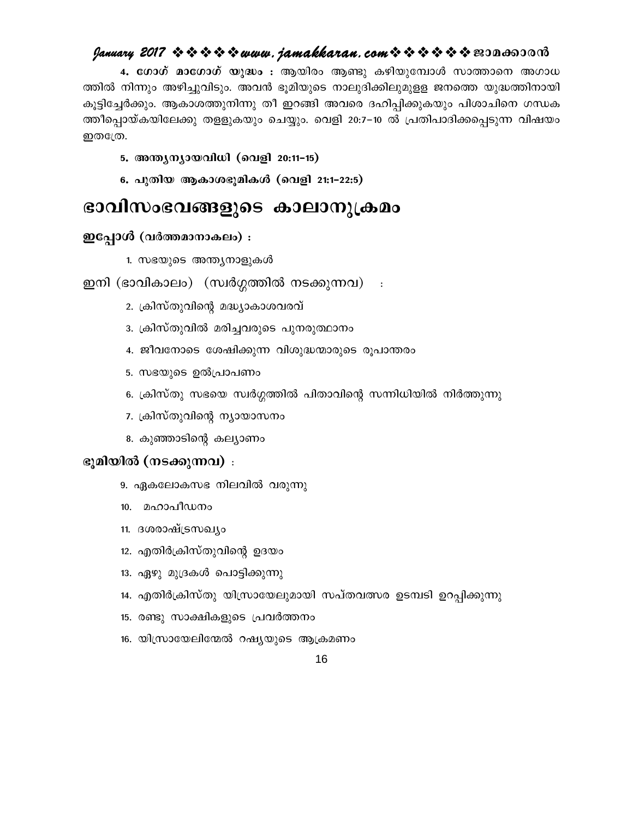### $\ell$  ganuary 2017  $\rightsquigarrow \rightsquigarrow \rightsquigarrow \rightsquigarrow uww.$  jamakkaran.com  $\rightsquigarrow \rightsquigarrow \rightsquigarrow \rightsquigarrow \rightsquigarrow \rightsquigarrow \text{mod}$

4. ഗോഗ് മാഗോഗ് യുദ്ധം : ആയിരം ആണ്ടു കഴിയുമ്പോൾ സാത്താനെ അഗാധ ത്തിൽ നിന്നും അഴിച്ചുവിടും. അവൻ ഭൂമിയുടെ നാലുദിക്കിലുമുളള ജനത്തെ യുദ്ധത്തിനായി കൂട്ടിച്ചേർക്കും. ആകാശത്തുനിന്നു തീ ഇറങ്ങി അവരെ ദഹിപ്പിക്കുകയും പിശാചിനെ ഗന്ധക ത്തീപ്പൊയ്കയിലേക്കു തളളുകയും ചെയ്യും. വെളി 20:7–10 ൽ പ്രതിപാദിക്കപ്പെടുന്ന വിഷയം ഇതഹ്രേ.

#### 5. അന്ത്യന്യായവിധി (വെളി 20:11-15)

6. പുതിയ ആകാശഭൂമികൾ (വെളി 21:1-22:5)

# ഭാവിസംഭവങ്ങളുടെ കാലാനുക്രമം

#### ഇപ്പോൾ (വർത്തമാനാകലം) :

1. സഭയുടെ അന്ത്യനാളുകൾ

#### ഇനി (ഭാവികാലം) (സ്വർഗ്ഗത്തിൽ നടക്കുന്നവ)  $\sim$  :

- 2. ക്രിസ്തുവിന്റെ മദ്ധ്യാകാശവരവ്
- 3. ക്രിസ്തുവിൽ മരിച്ചവരുടെ പുനരുത്ഥാനം
- 4. ജീവനോടെ ശേഷിക്കുന്ന വിശുദ്ധന്മാരുടെ രൂപാന്തരം
- 5. സഭയുടെ ഉൽപ്രാപണം
- 6. ക്രിസ്തു സഭയെ സ്വർഗ്ഗത്തിൽ പിതാവിന്റെ സന്നിധിയിൽ നിർത്തുന്നു
- 7. ക്രിസ്തുവിന്റെ ന്യായാസനം
- 8. കുഞ്ഞാടിന്റെ കല്യാണം

#### ഭൂമിയിൽ (നടക്കുന്നവ) :

- 9. ഏകലോകസഭ നിലവിൽ വരുന്നു
- 10. മഹാപീഡനം
- 11. ദശരാഷ്ട്രസഖ്യം
- 12. എതിർക്രിസ്തുവിന്റെ ഉദയം
- 13. ഏഴു മുദ്രകൾ പൊട്ടിക്കുന്നു
- 14. എതിർക്രിസ്തു യിസ്രായേലുമായി സപ്തവത്സര ഉടമ്പടി ഉറപ്പിക്കുന്നു
- 15. രണ്ടു സാക്ഷികളുടെ പ്രവർത്തനം
- 16. യിസ്രായേലിന്മേൽ റഷ്യയുടെ ആക്രമണം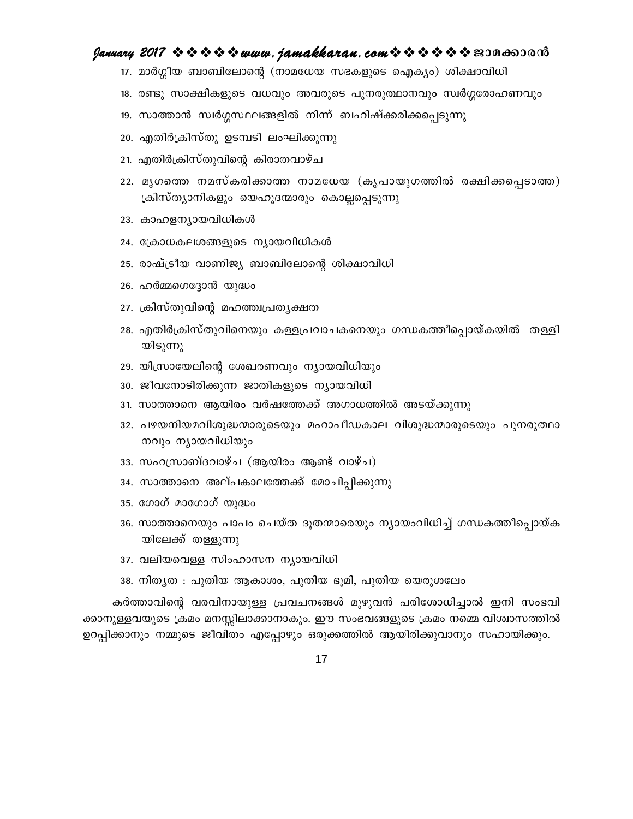#### January 2017 ☆☆☆☆☆ www.jamakkaran.com☆☆☆☆☆☆ 2010 and 0013

17. മാർഗ്ഗീയ ബാബിലോന്റെ (നാമധേയ സഭകളുടെ ഐക്യം) ശിക്ഷാവിധി

18. രണ്ടു സാക്ഷികളുടെ വധവും അവരുടെ പുനരുത്ഥാനവും സ്വർഗ്ഗരോഹണവും

- 19. സാത്താൻ സ്വർഗ്ഗസ്ഥലങ്ങളിൽ നിന്ന് ബഹിഷ്ക്കരിക്കപ്പെടുന്നു
- 20. എതിർക്രിസ്തു ഉടമ്പടി ലംഘിക്കുന്നു
- 21. എതിർക്രിസ്തുവിന്റെ കിരാതവാഴ്ച
- 22. മൃഗത്തെ നമസ്കരിക്കാത്ത നാമധേയ (കൃപായുഗത്തിൽ രക്ഷിക്കപ്പെടാത്ത) ക്രിസ്ത്യാനികളും യെഹൂദന്മാരും കൊല്ലപ്പെടുന്നു
- 23. കാഹളന്യായവിധികൾ
- 24. ക്രോധകലശങ്ങളുടെ ന്യായവിധികൾ
- 25. രാഷ്ട്രീയ വാണിജ്യ ബാബിലോന്റെ ശിക്ഷാവിധി
- 26. ഹർമ്മഗെദ്ദോൻ യുദ്ധം
- 27. ക്രിസ്തുവിന്റെ മഹത്ത്വപ്രത്യക്ഷത
- 28. എതിർക്രിസ്തുവിനെയും കള്ളപ്രവാചകനെയും ഗന്ധകത്തീപ്പൊയ്കയിൽ തള്ളി യിടുന്നു
- 29. യിസ്രായേലിന്റെ ശേഖരണവും ന്യായവിധിയും
- 30. ജീവനോടിരിക്കുന്ന ജാതികളുടെ ന്യായവിധി
- 31. സാത്താനെ ആയിരം വർഷത്തേക്ക് അഗാധത്തിൽ അടയ്ക്കുന്നു
- 32. പഴയനിയമവിശുദ്ധന്മാരുടെയും മഹാപീഡകാല വിശുദ്ധന്മാരുടെയും പുനരുത്ഥാ നവും ന്യായവിധിയും
- 33. സഹസ്രാബ്ദവാഴ്ച (ആയിരം ആണ്ട് വാഴ്ച)
- 34. സാത്താനെ അല്പകാലത്തേക്ക് മോചിപ്പിക്കുന്നു
- 35. ഗോഗ് മാഗോഗ് യുദ്ധം
- 36. സാത്താനെയും പാപം ചെയ്ത ദൂതന്മാരെയും നൃായംവിധിച്ച് ഗന്ധകത്തീപ്പൊയ്ക യിലേക്ക് തള്ളുന്നു
- 37. വലിയവെള്ള സിംഹാസന ന്യായവിധി
- 38. നിതൃത : പുതിയ ആകാശം, പുതിയ ഭൂമി, പുതിയ യെരുശലേം

കർത്താവിന്റെ വരവിനായുള്ള പ്രവചനങ്ങൾ മുഴുവൻ പരിശോധിച്ചാൽ ഇനി സംഭവി ക്കാനുള്ളവയുടെ ക്രമം മനസ്സിലാക്കാനാകും. ഈ സംഭവങ്ങളുടെ ക്രമം നമ്മെ വിശ്വാസത്തിൽ ഉറപ്പിക്കാനും നമ്മുടെ ജീവിതം എപ്പോഴും ഒരുക്കത്തിൽ ആയിരിക്കുവാനും സഹായിക്കും.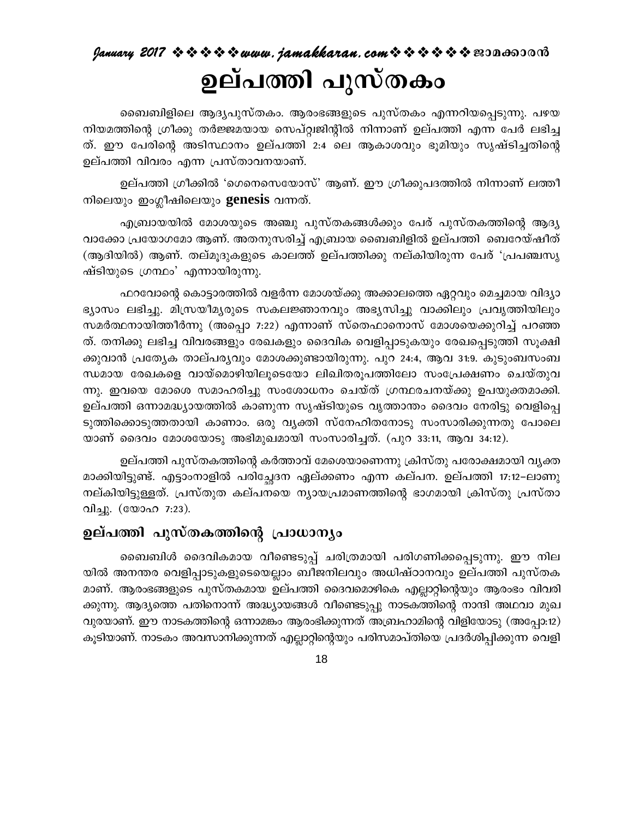# $q$ anuary 2017  $\rightsquigarrow \rightsquigarrow \rightsquigarrow \rightsquigarrow uww.$  jamakkaran.com $\rightsquigarrow \rightsquigarrow \rightsquigarrow \rightsquigarrow \rightsquigarrow \rightsquigarrow \text{non}$ ഉല്പത്തി പുസ്തകം

ബൈബിളിലെ ആദ്യപുസ്തകം. ആരംഭങ്ങളുടെ പുസ്തകം എന്നറിയപ്പെടുന്നു. പഴയ നിയമത്തിന്റെ ഗ്രീക്കു തർജ്ജമയായ സെപ്റ്റ്വജിന്റിൽ നിന്നാണ് ഉല്പത്തി എന്ന പേർ ലഭിച്ച ത്. ഈ പേരിന്റെ അടിസ്ഥാനം ഉല്പത്തി 2:4 ലെ ആകാശവും ഭൂമിയും സൃഷ്ടിച്ചതിന്റെ ഉല്പത്തി വിവരം എന്ന പ്രസ്താവനയാണ്.

ഉല്പത്തി ഗ്രീക്കിൽ 'ഗെനെസെയോസ്' ആണ്. ഈ ഗ്രീക്കുപദത്തിൽ നിന്നാണ് ലത്തീ നിലെയും ഇംഗ്ലീഷിലെയും **genesis** വന്നത്.

എബ്രായയിൽ മോശയുടെ അഞ്ചു പുസ്തകങ്ങൾക്കും പേര് പുസ്തകത്തിന്റെ ആദ്യ വാക്കോ പ്രയോഗമോ ആണ്. അതനുസരിച്ച് എബ്രായ ബൈബിളിൽ ഉല്പത്തി ബെറേയ്ഷീത് (ആദിയിൽ) ആണ്. തല്മൂദുകളുടെ കാലത്ത് ഉല്പത്തിക്കു നല്കിയിരുന്ന പേര് 'പ്രപഞ്ചസൃ ഷ്ടിയുടെ ഗ്രന്ഥം' എന്നായിരുന്നു.

ഫറവോന്റെ കൊട്ടാരത്തിൽ വളർന്ന മോശയ്ക്കു അക്കാലത്തെ ഏറ്റവും മെച്ചമായ വിദ്യാ ഭ്യാസം ലഭിച്ചു. മിസ്രയീമ്യരുടെ സകലജ്ഞാനവും അഭ്യസിച്ചു വാക്കിലും പ്രവൃത്തിയിലും സമർത്ഥനായിത്തീർന്നു (അപ്പൊ 7:22) എന്നാണ് സ്തെഫാനൊസ് മോശയെക്കുറിച്ച് പറഞ്ഞ ത്. തനിക്കു ലഭിച്ച വിവരങ്ങളും രേഖകളും ദൈവിക വെളിപ്പാടുകയും രേഖപ്പെടുത്തി സൂക്ഷി ക്കുവാൻ പ്രത്യേക താല്പര്യവും മോശക്കുണ്ടായിരുന്നു. പുറ 24:4, ആവ 31:9. കുടുംബസംബ ന്ധമായ രേഖകളെ വായ്മൊഴിയിലൂടെയോ ലിഖിതരൂപത്തിലോ സംപ്രേക്ഷണം ചെയ്തുവ ന്നു. ഇവയെ മോശെ സമാഹരിച്ചു സംശോധനം ചെയ്ത് ഗ്രന്ഥരചനയ്ക്കു ഉപയുക്തമാക്കി. ഉല്പത്തി ഒന്നാമദ്ധ്യായത്തിൽ കാണുന്ന സൃഷ്ടിയുടെ വൃത്താന്തം ദൈവം നേരിട്ടു വെളിപ്പെ ടുത്തിക്കൊടുത്തതായി കാണാം. ഒരു വ്യക്തി സ്നേഹിതനോടു സംസാരിക്കുന്നതു പോലെ യാണ് ദൈവം മോശയോടു അഭിമുഖമായി സംസാരിച്ചത്. (പുറ 33:11, ആവ 34:12).

ഉല്പത്തി പുസ്തകത്തിന്റെ കർത്താവ് മേശെയാണെന്നു ക്രിസ്തു പരോക്ഷമായി വൃക്ത മാക്കിയിട്ടുണ്ട്. എട്ടാംനാളിൽ പരിച്ഛേദന ഏല്ക്കണം എന്ന കല്പന. ഉല്പത്തി 17:12–ലാണു നല്കിയിട്ടുള്ളത്. പ്രസ്തുത കല്പനയെ ന്യായപ്രമാണത്തിന്റെ ഭാഗമായി ക്രിസ്തു പ്രസ്താ വിച്ചു. (യോഹ 7:23).

# ഉല്പത്തി പുസ്തകത്തിന്റെ പ്രാധാന്യം

ബൈബിൾ ദൈവികമായ വീണ്ടെടുപ്പ് ചരിത്രമായി പരിഗണിക്കപ്പെടുന്നു. ഈ നില യിൽ അനന്തര വെളിപ്പാടുകളുടെയെല്ലാം ബീജനിലവും അധിഷ്ഠാനവും ഉല്പത്തി പുസ്തക മാണ്. ആരംഭങ്ങളുടെ പുസ്തകമായ ഉല്പത്തി ദൈവമൊഴികെ എല്ലാറ്റിന്റെയും ആരംഭം വിവരി ക്കുന്നു. ആദ്യത്തെ പതിനൊന്ന് അദ്ധ്യായങ്ങൾ വീണ്ടെടുപ്പു നാടകത്തിന്റെ നാന്ദി അഥവാ മുഖ വുരയാണ്. ഈ നാടകത്തിന്റെ ഒന്നാമങ്കം ആരംഭിക്കുന്നത് അബ്രഹാമിന്റെ വിളിയോടു (അപ്പോ:12) കൂടിയാണ്. നാടകം അവസാനിക്കുന്നത് എല്ലാറ്റിന്റെയും പരിസമാപ്തിയെ പ്രദർശിപ്പിക്കുന്ന വെളി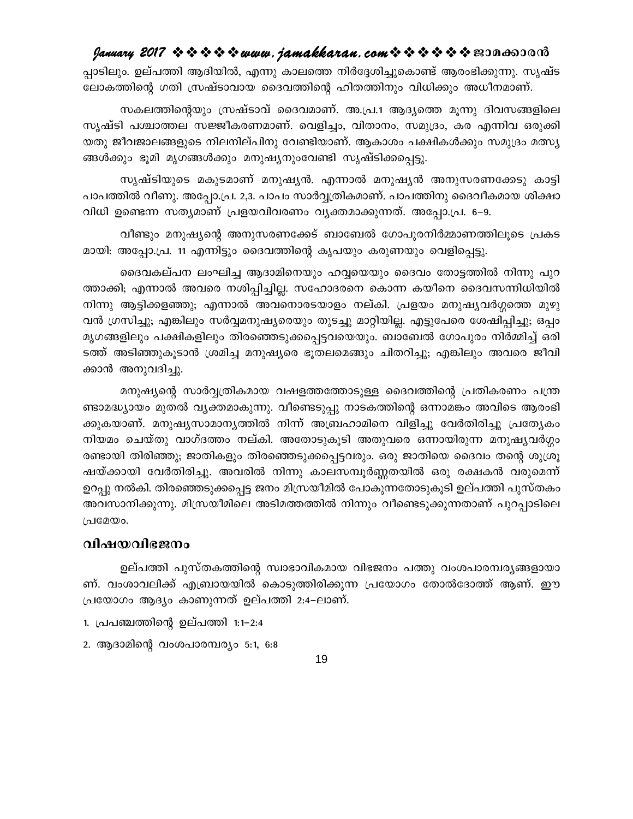#### $g$ anuary 2017  $\rightsquigarrow \rightsquigarrow \rightsquigarrow \rightsquigarrow uww.$  jamakkaran. com $\rightsquigarrow \rightsquigarrow \rightsquigarrow \rightsquigarrow \rightsquigarrow \rightsquigarrow \text{exp}$

പ്പാടിലും. ഉല്പത്തി ആദിയിൽ, എന്നു കാലത്തെ നിർദ്ദേശിച്ചുകൊണ്ട് ആരംഭിക്കുന്നു. സൃഷ്ട ലോകത്തിന്റെ ഗതി സ്രഷ്ടാവായ ദൈവത്തിന്റെ ഹിതത്തിനും വിധിക്കും അധീനമാണ്.

സകലത്തിന്റെയും സ്രഷ്ടാവ് ദൈവമാണ്. അ.പ്ര.1 ആദ്യത്തെ മുന്നു ദിവസങ്ങളിലെ സൃഷ്ടി പശ്ചാത്തല സജ്ജീകരണമാണ്. വെളിച്ചം, വിതാനം, സമുദ്രം, കര എന്നിവ ഒരുക്കി യതു ജീവജാലങ്ങളുടെ നിലനില്പിനു വേണ്ടിയാണ്. ആകാശം പക്ഷികൾക്കും സമുദ്രം മത്സ്യ ങ്ങൾക്കും ഭൂമി മൃഗങ്ങൾക്കും മനുഷ്യനുംവേണ്ടി സൃഷ്ടിക്കപ്പെട്ടു.

സൃഷ്ടിയുടെ മകുടമാണ് മനുഷ്യൻ. എന്നാൽ മനുഷ്യൻ അനുസരണക്കേടു കാട്ടി പാപത്തിൽ വീണു. അപ്പോ.പ്ര. 2,3. പാപം സാർവ്വത്രികമാണ്. പാപത്തിനു ദൈവീകമായ ശിക്ഷാ വിധി ഉണ്ടെന്ന സത്യമാണ് പ്രളയവിവരണം വ്യക്തമാക്കുന്നത്. അപ്പോ.പ്ര. 6–9.

വീണ്ടും മനുഷ്യന്റെ അനുസരണക്കേട് ബാബേൽ ഗോപുരനിർമ്മാണത്തിലൂടെ പ്രകട മായി: അപ്പോ.പ്ര. 11 എന്നിട്ടും ദൈവത്തിന്റെ കൃപയും കരുണയും വെളിപ്പെട്ടു.

ദൈവകല്പന ലംഘിച്ച ആദാമിനെയും ഹവ്വയെയും ദൈവം തോട്ടത്തിൽ നിന്നു പുറ ത്താക്കി; എന്നാൽ അവരെ നശിപ്പിച്ചില്ല. സഹോദരനെ കൊന്ന കയീനെ ദൈവസന്നിധിയിൽ നിന്നു ആട്ടിക്കളഞ്ഞു; എന്നാൽ അവനൊരടയാളം നല്കി. പ്രളയം മനുഷ്യവർഗ്ഗത്തെ മുഴു വൻ ഗ്രസിച്ചു; എങ്കിലും സർവ്വമനുഷ്യരെയും തുടച്ചു മാറ്റിയില്ല. എട്ടുപേരെ ശേഷിപ്പിച്ചു; ഒപ്പം മൃഗങ്ങളിലും പക്ഷികളിലും തിരഞ്ഞെടുക്കപ്പെട്ടവയെയും. ബാബേൽ ഗോപുരം നിർമ്മിച്ച് ഒരി ടത്ത് അടിഞ്ഞുകൂടാൻ ശ്രമിച്ച മനുഷ്യരെ ഭൂതലമെങ്ങും ചിതറിച്ചു; എങ്കിലും അവരെ ജീവി ക്കാൻ അനുവദിച്ചു.

മനുഷ്യന്റെ സാർവ്വത്രികമായ വഷളത്തത്തോടുള്ള ദൈവത്തിന്റെ പ്രതികരണം പന്ത്ര ണ്ടാമദ്ധ്യായം മുതൽ വ്യക്തമാകുന്നു. വീണ്ടെടുപ്പു നാടകത്തിന്റെ ഒന്നാമങ്കം അവിടെ ആരംഭി ക്കുകയാണ്. മനുഷ്യസാമാന്യത്തിൽ നിന്ന് അബ്രഹാമിനെ വിളിച്ചു വേർതിരിച്ചു പ്രത്യേകം നിയമം ചെയ്തു വാഗ്ദത്തം നല്കി. അതോടുകൂടി അതുവരെ ഒന്നായിരുന്ന മനുഷ്യവർഗ്ഗം രണ്ടായി തിരിഞ്ഞു; ജാതികളും തിരഞ്ഞെടുക്കപ്പെട്ടവരും. ഒരു ജാതിയെ ദൈവം തന്റെ ശുശ്രൂ ഷയ്ക്കായി വേർതിരിച്ചു. അവരിൽ നിന്നു കാലസമ്പൂർണ്ണതയിൽ ഒരു രക്ഷകൻ വരുമെന്ന് ഉറപ്പു നൽകി. തിരഞ്ഞെടുക്കപ്പെട്ട ജനം മിസ്രയീമിൽ പോകുന്നതോടുകൂടി ഉല്പത്തി പുസ്തകം അവസാനിക്കുന്നു. മിസ്രയീമിലെ അടിമത്തത്തിൽ നിന്നും വീണ്ടെടുക്കുന്നതാണ് പുറപ്പാടിലെ പ്രമേയം.

#### വിഷയവിഭജനം

ഉല്പത്തി പുസ്തകത്തിന്റെ സ്വാഭാവികമായ വിഭജനം പത്തു വംശപാരമ്പര്യങ്ങളായാ ണ്. വംശാവലിക്ക് എബ്രായയിൽ കൊടുത്തിരിക്കുന്ന പ്രയോഗം തോൽദോത്ത് ആണ്. ഈ പ്രയോഗം ആദ്യം കാണുന്നത് ഉല്പത്തി 2:4–ലാണ്.

- 1. പ്രപഞ്ചത്തിന്റെ ഉല്പത്തി 1:1–2:4
- 2. ആദാമിന്റെ വംശപാരമ്പര്യം 5:1, 6:8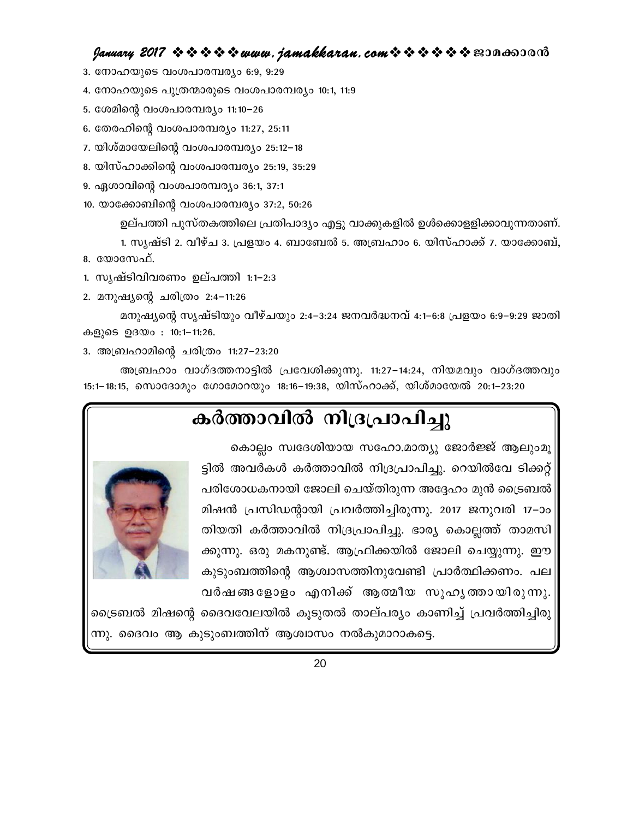#### $g$ anuary 2017  $\rightsquigarrow \rightsquigarrow \rightsquigarrow \rightsquigarrow uww.$  jamakkaran. com $\rightsquigarrow \rightsquigarrow \rightsquigarrow \rightsquigarrow \rightsquigarrow \rightsquigarrow \text{exp}$

- 3. നോഹയുടെ വംശപാരമ്പര്യം 6:9, 9:29
- 4. നോഹയുടെ പുത്രന്മാരുടെ വംശപാരമ്പര്യം 10:1, 11:9
- 5. ശേമിന്റെ വംശപാരമ്പര്യം 11:10–26
- 6. തേരഹിന്റെ വംശപാരമ്പര്യം 11:27, 25:11
- 7. യിശ്മായേലിന്റെ വംശപാരമ്പര്യം 25:12−18
- 8. യിസ്ഹാക്കിന്റെ വംശപാരമ്പര്യം 25:19, 35:29
- 9. ഏശാവിന്റെ വംശപാരമ്പര്യം 36:1, 37:1
- 10. യാക്കോബിന്റെ വംശപാരമ്പര്യം 37:2, 50:26

ഉല്പത്തി പുസ്തകത്തിലെ പ്രതിപാദ്യം എട്ടു വാക്കുകളിൽ ഉൾക്കൊളളിക്കാവുന്നതാണ്.

1. സൃഷ്ടി 2. വീഴ്ച 3. പ്രളയം 4. ബാബേൽ 5. അബ്രഹാം 6. യിസ്ഹാക്ക് 7. യാക്കോബ്, 8.  $\omega$  $\alpha$ 

- 1. സൃഷ്ടിവിവരണം ഉല്പത്തി 1:1–2:3
- 2. മനുഷ്യന്റെ ചരിത്രം 2:4-11:26

മനുഷ്യന്റെ സൃഷ്ടിയും വീഴ്ചയും 2:4–3:24 ജനവർദ്ധനവ് 4:1–6:8 പ്രളയം 6:9–9:29 ജാതി കളുടെ ഉദയം: 10:1-11:26.

3. അബ്രഹാമിന്റെ ചരിത്രം 11:27–23:20

അബ്രഹാം വാഗ്ദത്തനാട്ടിൽ പ്രവേശിക്കുന്നു. 11:27–14:24, നിയമവും വാഗ്ദത്തവും 15:1–18:15, സൊദോമും ഗോമോറയും 18:16–19:38, യിസ്ഹാക്ക്, യിശ്മായേൽ 20:1–23:20

# കർത്താവിൽ നിദ്രപ്രാപിച്ചു

കൊല്ലം സ്വദേശിയായ സഹോ.മാത്യു ജോർജ്ജ് ആലുംമൂ ട്ടിൽ അവർകൾ കർത്താവിൽ നിദ്രപ്രാപിച്ചു. റെയിൽവേ ടിക്കറ്റ് പരിശോധകനായി ജോലി ചെയ്തിരുന്ന അദ്ദേഹം മുൻ ട്രൈബൽ | മിഷൻ പ്രസിഡന്റായി പ്രവർത്തിച്ചിരുന്നു. 2017 ജനുവരി 17–ാം തിയതി കർത്താവിൽ നിദ്രപ്രാപിച്ചു. ഭാര്യ കൊല്ലത്ത് താമസി ക്കുന്നു. ഒരു മകനുണ്ട്. ആഫ്രിക്കയിൽ ജോലി ചെയ്യുന്നു. ഈ കുടുംബത്തിന്റെ ആശ്വാസത്തിനുവേണ്ടി പ്രാർത്ഥിക്കണം. പല വർഷങ്ങളോളം എനിക്ക് ആത്മീയ സുഹൃത്തായിരുന്നു.



ട്രൈബൽ മിഷന്റെ ദൈവവേലയിൽ കൂടുതൽ താല്പര്യം കാണിച്ച് പ്രവർത്തിച്ചിരു ന്നു. ദൈവം ആ കുടുംബത്തിന് ആശ്വാസം നൽകുമാറാകട്ടെ.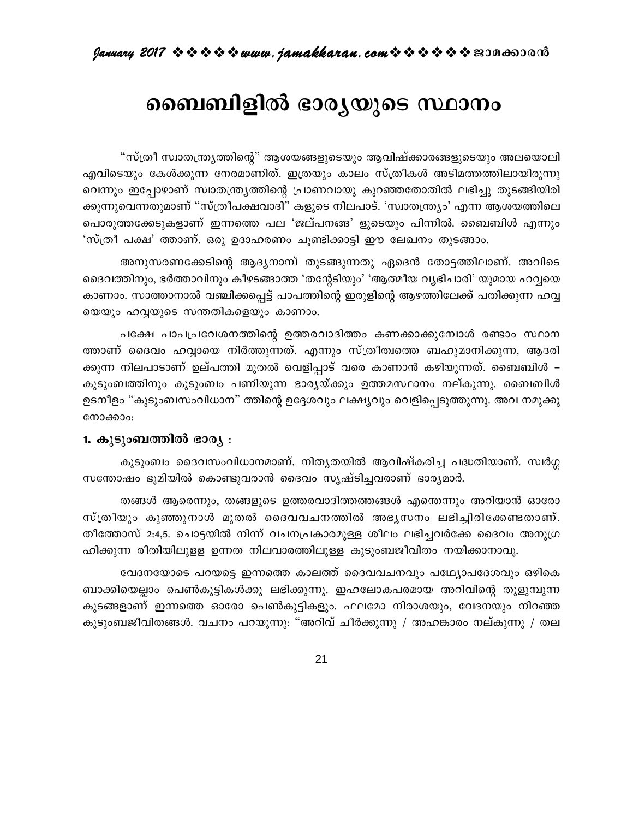# ബൈബിളിൽ ഭാര്യയുടെ സ്ഥാനം

"സ്ത്രീ സ്വാതന്ത്ര്യത്തിന്റെ" ആശയങ്ങളുടെയും ആവിഷ്ക്കാരങ്ങളുടെയും അലയൊലി എവിടെയും കേൾക്കുന്ന നേരമാണിത്. ഇത്രയും കാലം സ്ത്രീകൾ അടിമത്തത്തിലായിരുന്നു വെന്നും ഇപ്പോഴാണ് സ്വാതന്ത്ര്യത്തിന്റെ പ്രാണവായു കുറഞ്ഞതോതിൽ ലഭിച്ചു തുടങ്ങിയിരി ക്കുന്നുവെന്നതുമാണ് "സ്ത്രീപക്ഷവാദി" കളുടെ നിലപാട്. 'സ്വാതന്ത്ര്യം' എന്ന ആശയത്തിലെ പൊരുത്തക്കേടുകളാണ് ഇന്നത്തെ പല 'ജല്പനങ്ങ' ളുടെയും പിന്നിൽ. ബൈബിൾ എന്നും 'സ്ത്രീ പക്ഷ' ത്താണ്. ഒരു ഉദാഹരണം ചൂണ്ടിക്കാട്ടി ഈ ലേഖനം തുടങ്ങാം.

അനുസരണക്കേടിന്റെ ആദ്യനാമ്പ് തുടങ്ങുന്നതു ഏദെൻ തോട്ടത്തിലാണ്. അവിടെ ദൈവത്തിനും, ഭർത്താവിനും കീഴടങ്ങാത്ത 'തന്റേടിയും' 'ആത്മീയ വൃഭിചാരി' യുമായ ഹവ്വയെ കാണാം. സാത്താനാൽ വഞ്ചിക്കപ്പെട്ട് പാപത്തിന്റെ ഇരുളിന്റെ ആഴത്തിലേക്ക് പതിക്കുന്ന ഹവ്വ യെയും ഹവ്വയുടെ സന്തതികളെയും കാണാം.

പക്ഷേ പാപപ്രവേശനത്തിന്റെ ഉത്തരവാദിത്തം കണക്കാക്കുമ്പോൾ രണ്ടാം സ്ഥാന ത്താണ് ദൈവം ഹവ്വായെ നിർത്തുന്നത്. എന്നും സ്ത്രീത്വത്തെ ബഹുമാനിക്കുന്ന, ആദരി ക്കുന്ന നിലപാടാണ് ഉല്പത്തി മുതൽ വെളിപ്പാട് വരെ കാണാൻ കഴിയുന്നത്. ബൈബിൾ – കുടുംബത്തിനും കുടുംബം പണിയുന്ന ഭാര്യയ്ക്കും ഉത്തമസ്ഥാനം നല്കുന്നു. ബൈബിൾ ഉടനീളം "കുടുംബസംവിധാന" ത്തിന്റെ ഉദ്ദേശവും ലക്ഷ്യവും വെളിപ്പെടുത്തുന്നു. അവ നമുക്കു നോക്കാം:

#### 1. കുടുംബത്തിൽ ഭാര്യ :

കുടുംബം ദൈവസംവിധാനമാണ്. നിതൃതയിൽ ആവിഷ്കരിച്ച പദ്ധതിയാണ്. സ്വർഗ്ഗ സന്തോഷം ഭൂമിയിൽ കൊണ്ടുവരാൻ ദൈവം സൃഷ്ടിച്ചവരാണ് ഭാര്യമാർ.

തങ്ങൾ ആരെന്നും, തങ്ങളുടെ ഉത്തരവാദിത്തത്തങ്ങൾ എന്തെന്നും അറിയാൻ ഓരോ സ്ത്രീയും കുഞ്ഞുനാൾ മുതൽ ദൈവവചനത്തിൽ അഭ്യസനം ലഭിച്ചിരിക്കേണ്ടതാണ്. തീത്തോസ് 2:4,5. ചൊട്ടയിൽ നിന്ന് വചനപ്രകാരമുള്ള ശീലം ലഭിച്ചവർക്കേ ദൈവം അനുഗ്ര ഹിക്കുന്ന രീതിയിലുളള ഉന്നത നിലവാരത്തിലുള്ള കുടുംബജീവിതം നയിക്കാനാവൂ.

വേദനയോടെ പറയട്ടെ ഇന്നത്തെ കാലത്ത് ദൈവവചനവും പഥ്യോപദേശവും ഒഴികെ ബാക്കിയെല്ലാം പെൺകുട്ടികൾക്കു ലഭിക്കുന്നു. ഇഹലോകപരമായ അറിവിന്റെ തുളുമ്പുന്ന കുടങ്ങളാണ് ഇന്നത്തെ ഓരോ പെൺകുട്ടികളും. ഫലമോ നിരാശയും, വേദനയും നിറഞ്ഞ കുടുംബജീവിതങ്ങൾ. വചനം പറയുന്നു: "അറിവ് ചീർക്കുന്നു / അഹങ്കാരം നല്കുന്നു / തല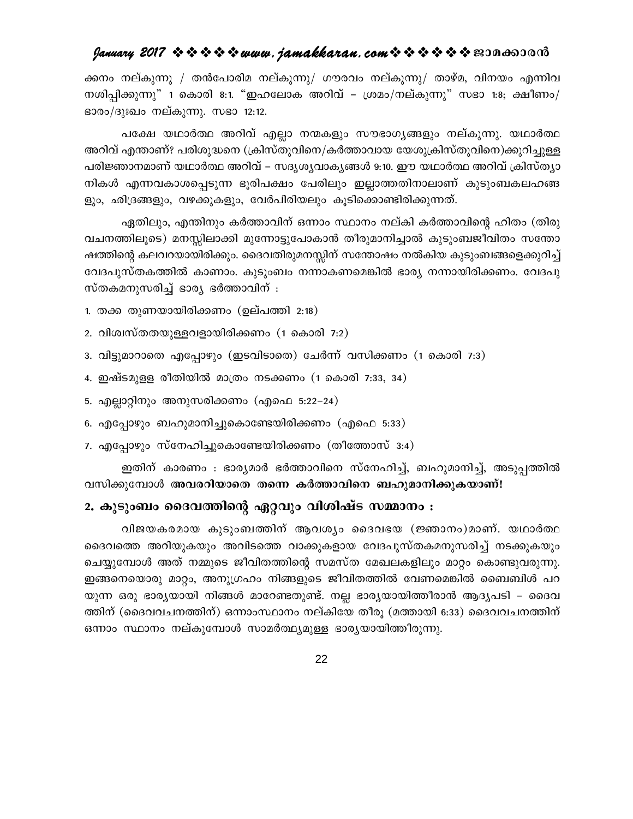ക്കനം നല്കുന്നു / തൻപോരിമ നല്കുന്നു/ ഗൗരവം നല്കുന്നു/ താഴ്മ, വിനയം എന്നിവ നശിപ്പിക്കുന്നു" 1 കൊരി 8:1. "ഇഹലോക അറിവ് – ശ്രമം/നല്കുന്നു" സഭാ 1:8; ക്ഷീണം/ ഭാരം/ദുഃഖം നല്കുന്നു. സഭാ 12:12.

പക്ഷേ യഥാർത്ഥ അറിവ് എല്ലാ നന്മകളും സൗഭാഗൃങ്ങളും നല്കുന്നു. യഥാർത്ഥ അറിവ് എന്താണ്? പരിശുദ്ധനെ (ക്രിസ്തുവിനെ/കർത്താവായ യേശുക്രിസ്തുവിനെ)ക്കുറിച്ചുള്ള പരിജ്ഞാനമാണ് യഥാർത്ഥ അറിവ് – സദൃശൃവാകൃങ്ങൾ 9:10. ഈ യഥാർത്ഥ അറിവ് ക്രിസ്തൃാ നികൾ എന്നവകാശപ്പെടുന്ന ഭൂരിപക്ഷം പേരിലും ഇല്ലാത്തതിനാലാണ് കുടുംബകലഹങ്ങ ളും, ഛിദ്രങ്ങളും, വഴക്കുകളും, വേർപിരിയലും കൂടിക്കൊണ്ടിരിക്കുന്നത്.

ഏതിലും, എന്തിനും കർത്താവിന് ഒന്നാം സ്ഥാനം നല്കി കർത്താവിന്റെ ഹിതം (തിരു വചനത്തിലൂടെ) മനസ്സിലാക്കി മുന്നോട്ടുപോകാൻ തീരുമാനിച്ചാൽ കുടുംബജീവിതം സന്തോ ഷത്തിന്റെ കലവറയായിരിക്കും. ദൈവതിരുമനസ്സിന് സന്തോഷം നൽകിയ കുടുംബങ്ങളെക്കുറിച്ച് വേദപുസ്തകത്തിൽ കാണാം. കുടുംബം നന്നാകണമെങ്കിൽ ഭാര്യ നന്നായിരിക്കണം. വേദപു സ്തകമനുസരിച്ച് ഭാര്യ ഭർത്താവിന് :

- 1. തക്ക തുണയായിരിക്കണം (ഉല്പത്തി 2:18)
- 2. വിശ്വസ്തതയുള്ളവളായിരിക്കണം (1 കൊരി 7:2)
- 3. വിട്ടുമാറാതെ എപ്പോഴും (ഇടവിടാതെ) ചേർന്ന് വസിക്കണം (1 കൊരി 7:3)
- 4. ഇഷ്ടമുള്ള രീതിയിൽ മാത്രം നടക്കണം (1 കൊരി 7:33, 34)
- 5. എല്ലാറ്റിനും അനുസരിക്കണം (എഫെ 5:22–24)
- 6. എപ്പോഴും ബഹുമാനിച്ചുകൊണ്ടേയിരിക്കണം (എഫെ 5:33)
- 7. എപ്പോഴും സ്നേഹിച്ചുകൊണ്ടേയിരിക്കണം (തീത്തോസ് 3:4)

ഇതിന് കാരണം : ഭാര്യമാർ ഭർത്താവിനെ സ്നേഹിച്ച്, ബഹുമാനിച്ച്, അടുപ്പത്തിൽ വസിക്കുമ്പോൾ അവരറിയാതെ തന്നെ കർത്താവിനെ ബഹുമാനിക്കുകയാണ്!

#### 2. കുടുംബം ദൈവത്തിന്റെ ഏറ്റവും വിശിഷ്ട സമ്മാനം :

വിജയകരമായ കുടുംബത്തിന് ആവശ്യം ദൈവഭയ (ജ്ഞാനം)മാണ്. യഥാർത്ഥ ദൈവത്തെ അറിയുകയും അവിടത്തെ വാക്കുകളായ വേദപുസ്തകമനുസരിച്ച് നടക്കുകയും ചെയ്യുമ്പോൾ അത് നമ്മുടെ ജീവിതത്തിന്റെ സമസ്ത മേഖലകളിലും മാറ്റം കൊണ്ടുവരുന്നു. ഇങ്ങനെയൊരു മാറ്റം, അനുഗ്രഹം നിങ്ങളുടെ ജീവിതത്തിൽ വേണമെങ്കിൽ ബൈബിൾ പറ യുന്ന ഒരു ഭാര്യയായി നിങ്ങൾ മാറേണ്ടതുണ്ട്. നല്ല ഭാര്യയായിത്തീരാൻ ആദ്യപടി – ദൈവ ത്തിന് (ദൈവവചനത്തിന്) ഒന്നാംസ്ഥാനം നല്കിയേ തീരു (മത്തായി 6:33) ദൈവവചനത്തിന് ഒന്നാം സ്ഥാനം നല്കുമ്പോൾ സാമർത്ഥ്യമുള്ള ഭാര്യയായിത്തീരുന്നു.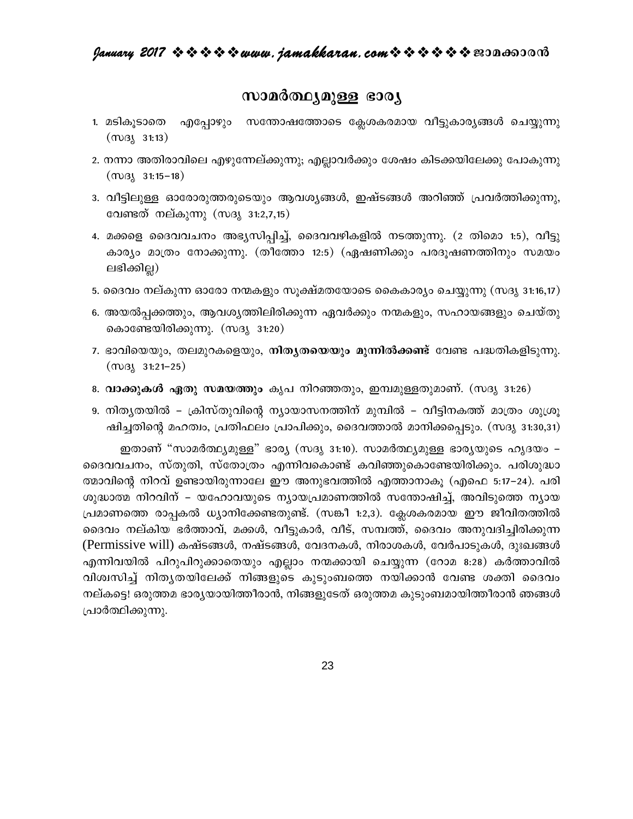#### സാമർത്ഥ്യമുള്ള ഭാര്യ

- എപ്പോഴും സന്തോഷത്തോടെ ക്ലേശകരമായ വീട്ടുകാര്യങ്ങൾ ചെയ്യുന്നു 1. മടികൂടാതെ  $(m)3(31:13)$
- 2. നന്നാ അതിരാവിലെ എഴുന്നേല്ക്കുന്നു; എല്ലാവർക്കും ശേഷം കിടക്കയിലേക്കു പോകുന്നു  $(m)3(31:15-18)$
- 3. വീട്ടിലുള്ള ഓരോരുത്തരുടെയും ആവശ്യങ്ങൾ, ഇഷ്ടങ്ങൾ അറിഞ്ഞ് പ്രവർത്തിക്കുന്നു, വേണ്ടത് നല്കുന്നു (സദൃ 31:2,7,15)
- 4. മക്കളെ ദൈവവചനം അഭ്യസിപ്പിച്ച്, ദൈവവഴികളിൽ നടത്തുന്നു. (2 തിമൊ 1:5), വീട്ടു കാര്യം മാത്രം നോക്കുന്നു. (തീത്തോ 12:5) (ഏഷണിക്കും പരദൂഷണത്തിനും സമയം ലഭിക്കില്ല)
- 5. ദൈവം നല്കുന്ന ഓരോ നന്മകളും സൂക്ഷ്മതയോടെ കൈകാര്യം ചെയ്യുന്നു (സദൃ 31:16,17)
- 6. അയൽപ്പക്കത്തും, ആവശ്യത്തിലിരിക്കുന്ന ഏവർക്കും നന്മകളും, സഹായങ്ങളും ചെയ്തു കൊണ്ടേയിരിക്കുന്നു. (സദൃ 31:20)
- 7. ഭാവിയെയും, തലമുറകളെയും, **നിതൃതയെയും മുന്നിൽക്കണ്ട്** വേണ്ട പദ്ധതികളിടുന്നു.  $(m)3k$  31:21-25)
- 8. വാക്കുകൾ ഏതു സമയത്തും കൃപ നിറഞ്ഞതും, ഇമ്പമുള്ളതുമാണ്. (സദൃ 31:26)
- 9. നിത്യതയിൽ ക്രിസ്തുവിന്റെ ന്യായാസനത്തിന് മുമ്പിൽ വീട്ടിനകത്ത് മാത്രം ശുശ്രു ഷിച്ചതിന്റെ മഹത്വം, പ്രതിഫലം പ്രാപിക്കും, ദൈവത്താൽ മാനിക്കപ്പെടും. (സദൃ 31:30,31)

ഇതാണ് "സാമർത്ഥ്യമുള്ള" ഭാര്യ (സദ്യ 31:10). സാമർത്ഥ്യമുള്ള ഭാര്യയുടെ ഹൃദയം – ദൈവവചനം, സ്തുതി, സ്തോത്രം എന്നിവകൊണ്ട് കവിഞ്ഞുകൊണ്ടേയിരിക്കും. പരിശുദ്ധാ ത്മാവിന്റെ നിറവ് ഉണ്ടായിരുന്നാലേ ഈ അനുഭവത്തിൽ എത്താനാകൂ (എഫെ 5:17–24). പരി ശുദ്ധാത്മ നിറവിന് – യഹോവയുടെ ന്യായപ്രമാണത്തിൽ സന്തോഷിച്ച്, അവിടുത്തെ ന്യായ പ്രമാണത്തെ രാപ്പകൽ ധ്യാനിക്കേണ്ടതുണ്ട്. (സങ്കീ 1:2,3). ക്ലേശകരമായ ഈ ജീവിതത്തിൽ ദൈവം നല്കിയ ഭർത്താവ്, മക്കൾ, വീട്ടുകാർ, വീട്, സമ്പത്ത്, ദൈവം അനുവദിച്ചിരിക്കുന്ന (Permissive will) കഷ്ടങ്ങൾ, നഷ്ടങ്ങൾ, വേദനകൾ, നിരാശകൾ, വേർപാടുകൾ, ദുഃഖങ്ങൾ എന്നിവയിൽ പിറുപിറുക്കാതെയും എല്ലാം നന്മക്കായി ചെയ്യുന്ന (റോമ 8:28) കർത്താവിൽ വിശ്വസിച്ച് നിതൃതയിലേക്ക് നിങ്ങളുടെ കുടുംബത്തെ നയിക്കാൻ വേണ്ട ശക്തി ദൈവം നല്കട്ടെ! ഒരുത്തമ ഭാര്യയായിത്തീരാൻ, നിങ്ങളുടേത് ഒരുത്തമ കുടുംബമായിത്തീരാൻ ഞങ്ങൾ പ്രാർത്ഥിക്കുന്നു.